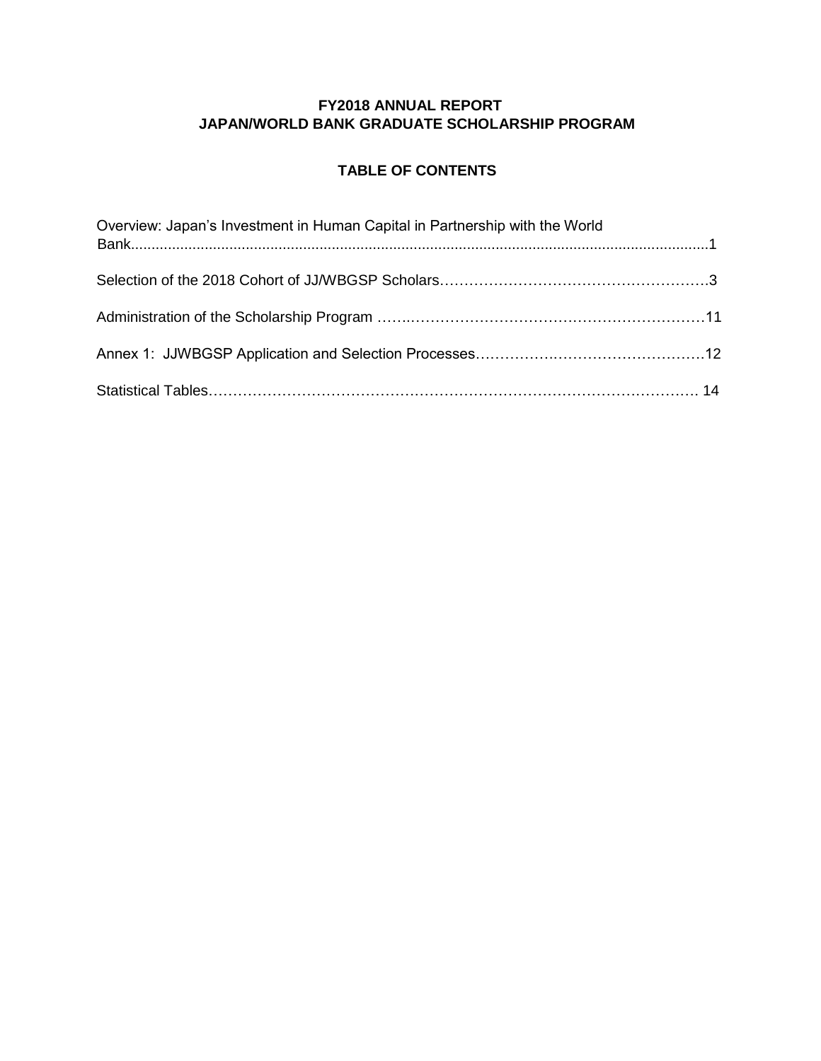#### **FY2018 ANNUAL REPORT JAPAN/WORLD BANK GRADUATE SCHOLARSHIP PROGRAM**

#### **TABLE OF CONTENTS**

| Overview: Japan's Investment in Human Capital in Partnership with the World |  |
|-----------------------------------------------------------------------------|--|
|                                                                             |  |
|                                                                             |  |
|                                                                             |  |
|                                                                             |  |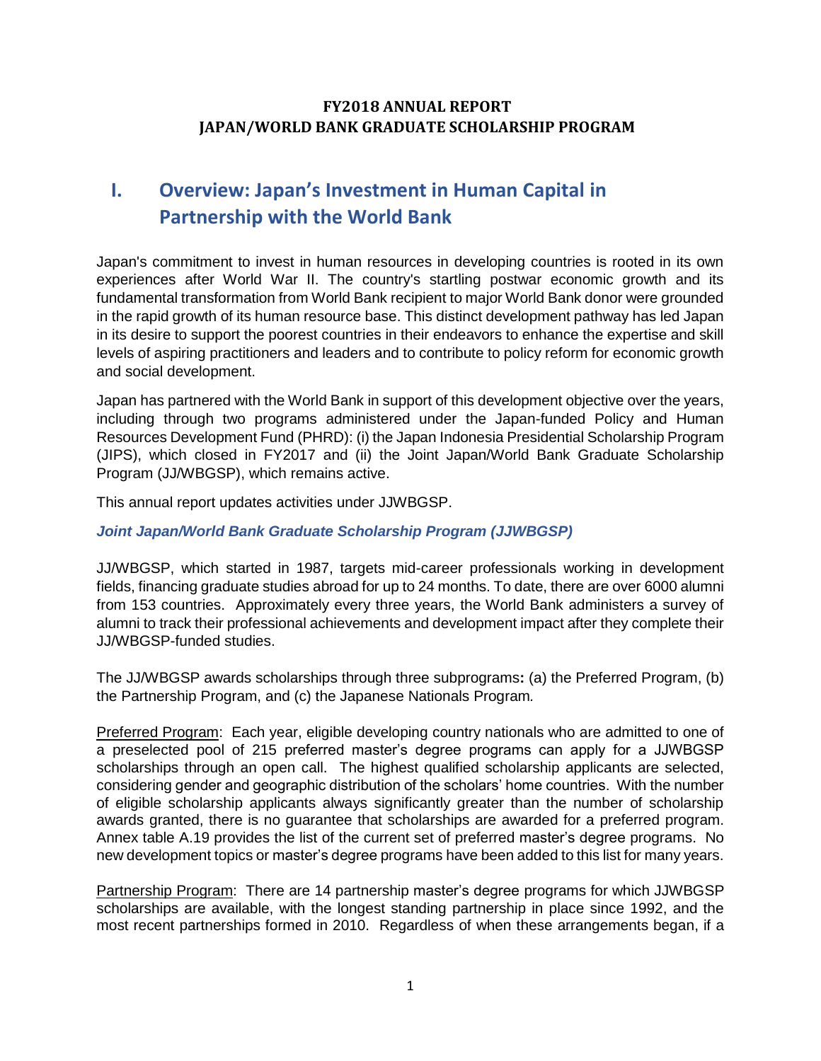#### **FY2018 ANNUAL REPORT JAPAN/WORLD BANK GRADUATE SCHOLARSHIP PROGRAM**

## **I. Overview: Japan's Investment in Human Capital in Partnership with the World Bank**

Japan's commitment to invest in human resources in developing countries is rooted in its own experiences after World War II. The country's startling postwar economic growth and its fundamental transformation from World Bank recipient to major World Bank donor were grounded in the rapid growth of its human resource base. This distinct development pathway has led Japan in its desire to support the poorest countries in their endeavors to enhance the expertise and skill levels of aspiring practitioners and leaders and to contribute to policy reform for economic growth and social development.

Japan has partnered with the World Bank in support of this development objective over the years, including through two programs administered under the Japan-funded Policy and Human Resources Development Fund (PHRD): (i) the Japan Indonesia Presidential Scholarship Program (JIPS), which closed in FY2017 and (ii) the Joint Japan/World Bank Graduate Scholarship Program (JJ/WBGSP), which remains active.

This annual report updates activities under JJWBGSP.

#### *Joint Japan/World Bank Graduate Scholarship Program (JJWBGSP)*

JJ/WBGSP, which started in 1987, targets mid-career professionals working in development fields, financing graduate studies abroad for up to 24 months. To date, there are over 6000 alumni from 153 countries. Approximately every three years, the World Bank administers a survey of alumni to track their professional achievements and development impact after they complete their JJ/WBGSP-funded studies.

The JJ/WBGSP awards scholarships through three subprograms**:** (a) the Preferred Program, (b) the Partnership Program, and (c) the Japanese Nationals Program*.* 

Preferred Program: Each year, eligible developing country nationals who are admitted to one of a preselected pool of 215 preferred master's degree programs can apply for a JJWBGSP scholarships through an open call. The highest qualified scholarship applicants are selected, considering gender and geographic distribution of the scholars' home countries. With the number of eligible scholarship applicants always significantly greater than the number of scholarship awards granted, there is no guarantee that scholarships are awarded for a preferred program. Annex table A.19 provides the list of the current set of preferred master's degree programs. No new development topics or master's degree programs have been added to this list for many years.

Partnership Program: There are 14 partnership master's degree programs for which JJWBGSP scholarships are available, with the longest standing partnership in place since 1992, and the most recent partnerships formed in 2010. Regardless of when these arrangements began, if a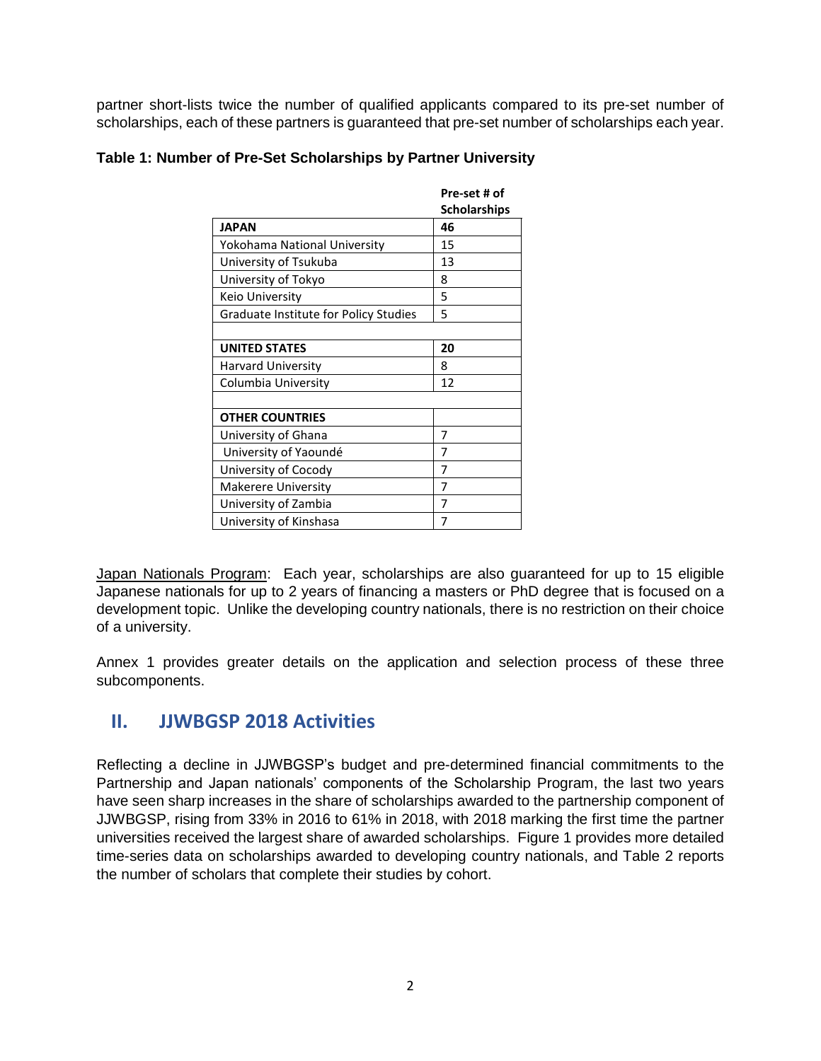partner short-lists twice the number of qualified applicants compared to its pre-set number of scholarships, each of these partners is guaranteed that pre-set number of scholarships each year.

|                                       | Pre-set # of        |
|---------------------------------------|---------------------|
|                                       | <b>Scholarships</b> |
| <b>JAPAN</b>                          | 46                  |
| Yokohama National University          | 15                  |
| University of Tsukuba                 | 13                  |
| University of Tokyo                   | 8                   |
| Keio University                       | 5                   |
| Graduate Institute for Policy Studies | 5                   |
|                                       |                     |
| <b>UNITED STATES</b>                  | 20                  |
| <b>Harvard University</b>             | 8                   |
| Columbia University                   | 12                  |
|                                       |                     |
| <b>OTHER COUNTRIES</b>                |                     |
| University of Ghana                   | 7                   |
| University of Yaoundé                 | 7                   |
| University of Cocody                  | 7                   |
| <b>Makerere University</b>            | 7                   |
| University of Zambia                  | 7                   |
| University of Kinshasa                | 7                   |

#### **Table 1: Number of Pre-Set Scholarships by Partner University**

Japan Nationals Program: Each year, scholarships are also guaranteed for up to 15 eligible Japanese nationals for up to 2 years of financing a masters or PhD degree that is focused on a development topic. Unlike the developing country nationals, there is no restriction on their choice of a university.

Annex 1 provides greater details on the application and selection process of these three subcomponents.

### **II. JJWBGSP 2018 Activities**

Reflecting a decline in JJWBGSP's budget and pre-determined financial commitments to the Partnership and Japan nationals' components of the Scholarship Program, the last two years have seen sharp increases in the share of scholarships awarded to the partnership component of JJWBGSP, rising from 33% in 2016 to 61% in 2018, with 2018 marking the first time the partner universities received the largest share of awarded scholarships. Figure 1 provides more detailed time-series data on scholarships awarded to developing country nationals, and Table 2 reports the number of scholars that complete their studies by cohort.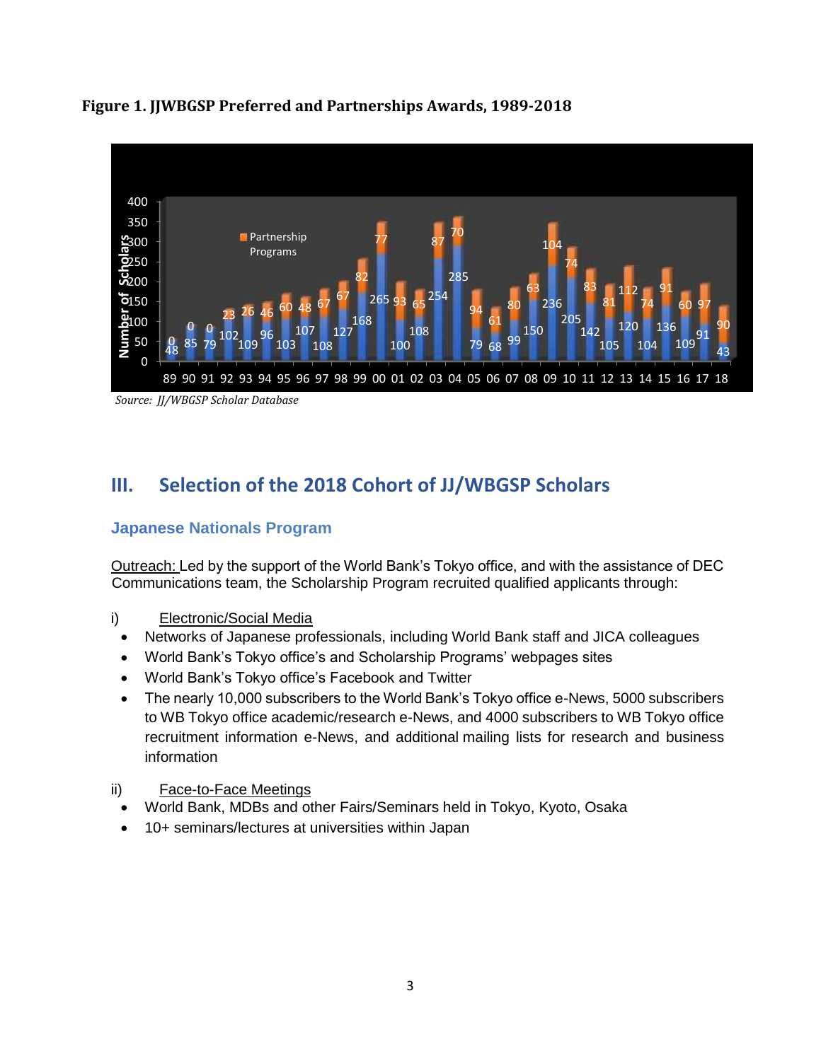

#### **Figure 1. JJWBGSP Preferred and Partnerships Awards, 1989-2018**

 *Source: JJ/WBGSP Scholar Database*

### **III. Selection of the 2018 Cohort of JJ/WBGSP Scholars**

#### **Japanese Nationals Program**

Outreach: Led by the support of the World Bank's Tokyo office, and with the assistance of DEC Communications team, the Scholarship Program recruited qualified applicants through:

- i) Electronic/Social Media
	- Networks of Japanese professionals, including World Bank staff and JICA colleagues
	- World Bank's Tokyo office's and Scholarship Programs' webpages sites
	- World Bank's Tokyo office's Facebook and Twitter
	- The nearly 10,000 subscribers to the World Bank's Tokyo office e-News, 5000 subscribers to WB Tokyo office academic/research e-News, and 4000 subscribers to WB Tokyo office recruitment information e-News, and additional mailing lists for research and business information
- ii) Face-to-Face Meetings
	- World Bank, MDBs and other Fairs/Seminars held in Tokyo, Kyoto, Osaka
	- 10+ seminars/lectures at universities within Japan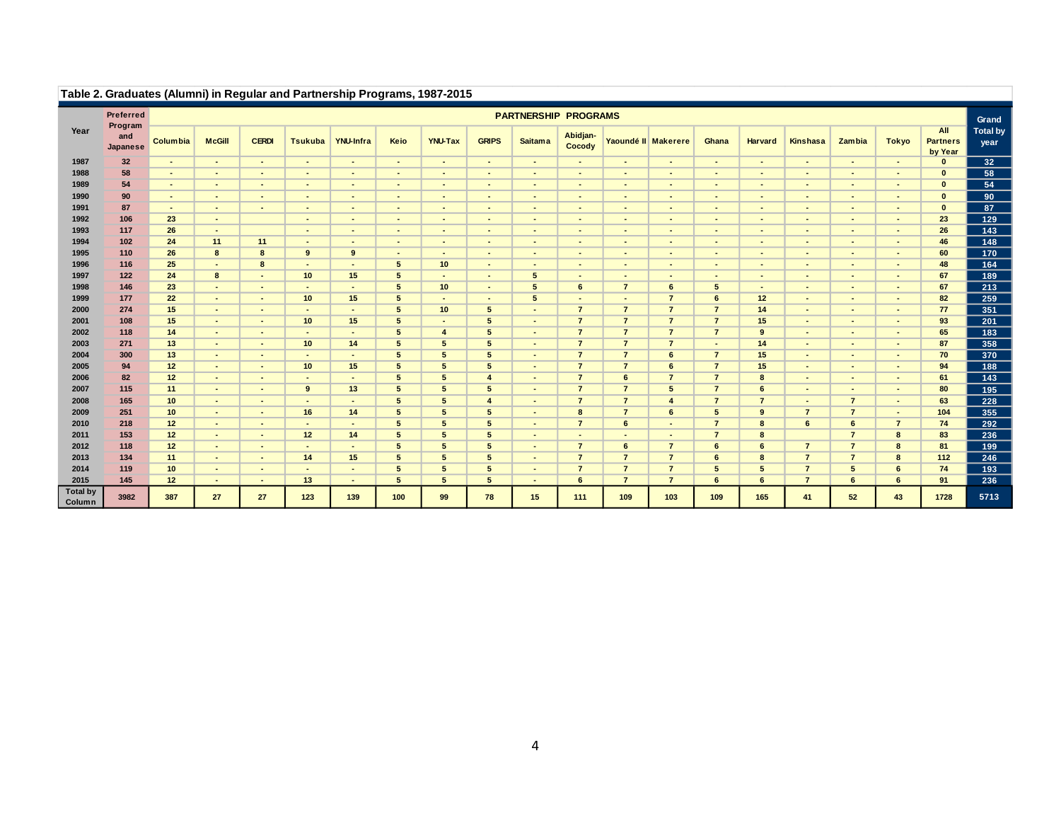|                           | Table 2. Graduates (Alumni) in Regular and Partnership Programs, 1967-2015 |                 |                |                |                          |                  |                          |                |                       |                             |                    |                          |                     |                |                          |                |                 |                |                                   |                         |
|---------------------------|----------------------------------------------------------------------------|-----------------|----------------|----------------|--------------------------|------------------|--------------------------|----------------|-----------------------|-----------------------------|--------------------|--------------------------|---------------------|----------------|--------------------------|----------------|-----------------|----------------|-----------------------------------|-------------------------|
|                           | Preferred                                                                  |                 |                |                |                          |                  |                          |                |                       | <b>PARTNERSHIP PROGRAMS</b> |                    |                          |                     |                |                          |                |                 |                |                                   | Grand                   |
| Year                      | Program<br>and<br>Japanese                                                 | <b>Columbia</b> | <b>McGill</b>  | <b>CERDI</b>   | <b>Tsukuba</b>           | <b>YNU-Infra</b> | Keio                     | <b>YNU-Tax</b> | <b>GRIPS</b>          | <b>Saitama</b>              | Abidjan-<br>Cocody |                          | Yaoundé II Makerere | Ghana          | <b>Harvard</b>           | Kinshasa       | <b>Zambia</b>   | <b>Tokyo</b>   | All<br><b>Partners</b><br>by Year | <b>Total by</b><br>year |
| 1987                      | 32                                                                         | $\sim$          | $\sim$         | $\sim$         | $\overline{\phantom{a}}$ | $\sim$           | $\overline{\phantom{a}}$ | $\sim$         | $\blacksquare$        | $\sim$                      | $\blacksquare$     | $\overline{\phantom{a}}$ | $\sim$              | $\blacksquare$ | $\sim$                   | $\sim$         | $\blacksquare$  | ٠              | $\bf{0}$                          | 32                      |
| 1988                      | 58                                                                         | $\sim$          | $\sim$         | $\sim$         | $\overline{\phantom{a}}$ | $\sim$           | $\blacksquare$           | $\blacksquare$ | $\blacksquare$        | $\sim$                      | $\sim$             | $\blacksquare$           | $\sim$              | $\blacksquare$ | $\sim$                   | $\blacksquare$ | $\sim$          | $\blacksquare$ | $\mathbf{0}$                      | 58                      |
| 1989                      | 54                                                                         | $\sim$          | $\sim$         | $\sim$         | $\overline{\phantom{a}}$ | $\sim$           | $\blacksquare$           | $\blacksquare$ | $\blacksquare$        | $\sim$                      | $\sim$             | $\blacksquare$           | $\sim$              | $\blacksquare$ | $\sim$                   | $\sim$         | $\sim$          | $\blacksquare$ | $\mathbf{0}$                      | 54                      |
| 1990                      | 90                                                                         | $\sim$          | $\sim$         | $\sim$         | $\blacksquare$           | $\sim$           | $\blacksquare$           | $\blacksquare$ | $\blacksquare$        | $\sim$                      | $\blacksquare$     | $\blacksquare$           | $\sim$              | ٠              | $\sim$                   | $\sim$         | $\sim$          | $\blacksquare$ | $\mathbf{0}$                      | 90                      |
| 1991                      | 87                                                                         | $\sim$          | $\sim$         | $\sim$         | $\blacksquare$           | $\sim$           | $\blacksquare$           | $\blacksquare$ | $\blacksquare$        | $\sim$                      | $\sim$             | $\blacksquare$           | $\sim$              | ٠              | $\sim$                   | $\sim$         | $\sim$          | $\blacksquare$ | $\mathbf{0}$                      | 87                      |
| 1992                      | 106                                                                        | 23              | $\sim$         |                | $\blacksquare$           | $\sim$           | ٠                        | $\sim$         | $\blacksquare$        | $\sim$                      | $\blacksquare$     | $\blacksquare$           | $\sim$              | ٠              | $\sim$                   | $\sim$         | $\sim$          | $\blacksquare$ | 23                                | 129                     |
| 1993                      | 117                                                                        | 26              | $\sim$         |                | $\blacksquare$           | $\sim$           | $\blacksquare$           | $\blacksquare$ | $\sim$                | $\sim$                      | $\blacksquare$     | $\blacksquare$           | $\sim$              | ٠              | $\blacksquare$           | $\sim$         | $\blacksquare$  | $\blacksquare$ | 26                                | 143                     |
| 1994                      | 102                                                                        | 24              | 11             | 11             | $\overline{\phantom{a}}$ | $\blacksquare$   | $\overline{\phantom{a}}$ | $\blacksquare$ | ٠                     | $\sim$                      | $\blacksquare$     | $\blacksquare$           | ٠                   | ٠              | ٠                        | ۰.             | $\blacksquare$  | $\blacksquare$ | 46                                | 148                     |
| 1995                      | 110                                                                        | 26              | 8              | 8              | 9                        | 9                | $\overline{\phantom{a}}$ | $\blacksquare$ | $\overline{a}$        | $\sim$                      | $\blacksquare$     | $\overline{\phantom{a}}$ | $\overline{a}$      | $\overline{a}$ | $\overline{\phantom{a}}$ | $\blacksquare$ | $\overline{a}$  | $\overline{a}$ | 60                                | 170                     |
| 1996                      | 116                                                                        | 25              | $\sim$         | 8              | $\overline{a}$           | $\overline{a}$   | 5                        | 10             | $\blacksquare$        | $\sim$                      | $\blacksquare$     | $\blacksquare$           | $\overline{a}$      | $\blacksquare$ | $\overline{\phantom{a}}$ | $\blacksquare$ | $\overline{a}$  | $\blacksquare$ | 48                                | 164                     |
| 1997                      | 122                                                                        | 24              | 8              | $\blacksquare$ | 10                       | 15               | 5                        | $\blacksquare$ | $\blacksquare$        | 5                           | $\blacksquare$     | $\overline{\phantom{a}}$ | $\sim$              | $\blacksquare$ | $\sim$                   | $\blacksquare$ | $\sim$          | $\blacksquare$ | 67                                | 189                     |
| 1998                      | 146                                                                        | 23              | $\sim$         | $\blacksquare$ | $\overline{a}$           | $\blacksquare$   | 5                        | 10             | $\blacksquare$        | 5                           | 6                  | $\overline{7}$           | 6                   | 5              | $\blacksquare$           | $\blacksquare$ | $\blacksquare$  | $\blacksquare$ | 67                                | 213                     |
| 1999                      | 177                                                                        | 22              | $\sim$         | ٠              | 10                       | 15               | 5                        | $\sim$         | $\blacksquare$        | 5                           | $\blacksquare$     | $\blacksquare$           | $\overline{7}$      | 6              | 12                       | $\blacksquare$ | $\blacksquare$  | $\blacksquare$ | 82                                | 259                     |
| 2000                      | 274                                                                        | 15              | $\sim$         | $\sim$         | $\overline{\phantom{a}}$ | $\blacksquare$   | 5                        | 10             | 5                     | $\overline{\phantom{a}}$    | $\overline{7}$     | $\overline{7}$           | $\overline{7}$      | $\overline{7}$ | 14                       | $\blacksquare$ | $\blacksquare$  | $\blacksquare$ | 77                                | 351                     |
| 2001                      | 108                                                                        | 15              | $\sim$         | $\blacksquare$ | 10                       | 15               | 5                        | $\blacksquare$ | 5                     | $\sim$                      | $\overline{7}$     | $\overline{7}$           | $\overline{7}$      | $\overline{7}$ | 15                       | $\blacksquare$ | $\blacksquare$  | $\blacksquare$ | 93                                | 201                     |
| 2002                      | 118                                                                        | 14              | $\sim$         | $\blacksquare$ | $\blacksquare$           | $\sim$           | 5                        | $\overline{4}$ | 5                     | $\sim$                      | $\overline{7}$     | $\overline{7}$           | $\overline{7}$      | $\overline{7}$ | 9                        | $\sim$         | $\blacksquare$  | $\blacksquare$ | 65                                | 183                     |
| 2003                      | 271                                                                        | 13              | $\sim$         | $\sim$         | 10                       | 14               | 5                        | 5              | 5                     | $\sim$                      | $\overline{7}$     | $\overline{7}$           | $\overline{7}$      | $\blacksquare$ | 14                       | $\sim$         | $\blacksquare$  | $\blacksquare$ | 87                                | 358                     |
| 2004                      | 300                                                                        | 13              | $\sim$         | $\sim$         | $\blacksquare$           | $\blacksquare$   | 5                        | 5              | 5                     | $\sim$                      | $\overline{7}$     | $\overline{7}$           | $6\phantom{1}$      | $\overline{7}$ | 15                       | $\sim$         | $\blacksquare$  | $\blacksquare$ | 70                                | 370                     |
| 2005                      | 94                                                                         | 12              | $\sim$         | $\sim$         | 10                       | 15               | 5                        | 5              | 5                     | $\sim$                      | $\overline{7}$     | $\overline{7}$           | 6                   | $\overline{7}$ | 15                       | $\blacksquare$ | $\sim$          | $\blacksquare$ | 94                                | 188                     |
| 2006                      | 82                                                                         | 12              | $\sim$         | $\sim$         | $\overline{\phantom{a}}$ | $\sim$           | 5                        | 5              | $\boldsymbol{\Delta}$ | $\sim$                      | $\overline{7}$     | $6\phantom{1}$           | $\overline{7}$      | $\overline{7}$ | 8                        | $\sim$         | $\sim$          | $\blacksquare$ | 61                                | 143                     |
| 2007                      | 115                                                                        | 11              | $\sim$         | $\sim$         | 9                        | 13               | 5                        | 5              | 5                     | $\sim$                      | $\overline{7}$     | $\overline{7}$           | 5                   | $\overline{7}$ | 6                        | $\sim$         | $\overline{a}$  | $\blacksquare$ | 80                                | 195                     |
| 2008                      | 165                                                                        | 10              | $\sim$         | $\sim$         | $\overline{\phantom{a}}$ | $\sim$           | 5                        | 5              | 4                     | $\sim$                      | $\overline{7}$     | $\overline{7}$           | $\overline{4}$      | $\overline{7}$ | $\overline{7}$           | $\sim$         | $\overline{7}$  | $\sim$         | 63                                | 228                     |
| 2009                      | 251                                                                        | 10              | $\sim$         | $\sim$         | 16                       | 14               | 5                        | 5              | 5                     | $\sim$                      | 8                  | $\overline{7}$           | 6                   | 5              | 9                        | $\overline{7}$ | $\overline{7}$  | $\blacksquare$ | 104                               | 355                     |
| 2010                      | 218                                                                        | 12              | $\sim$         | ٠              | $\blacksquare$           | $\sim$           | 5                        | 5              | 5                     | $\sim$                      | $\overline{7}$     | $6\phantom{a}$           | $\sim$              | $\overline{7}$ | 8                        | 6              | $6\phantom{.}6$ | $\overline{7}$ | 74                                | 292                     |
| 2011                      | 153                                                                        | 12              | $\sim$         | $\blacksquare$ | 12                       | 14               | 5                        | 5              | 5                     | $\blacksquare$              | $\blacksquare$     | $\blacksquare$           |                     | $\overline{7}$ | 8                        |                | $\overline{7}$  | 8              | 83                                | 236                     |
| 2012                      | 118                                                                        | 12              | $\sim$         | $\blacksquare$ | $\blacksquare$           | $\blacksquare$   | 5                        | 5              | 5                     | $\sim$                      | $\overline{7}$     | 6                        | $\overline{7}$      | 6              | 6                        | $\overline{7}$ | $\overline{7}$  | 8              | 81                                | 199                     |
| 2013                      | 134                                                                        | 11              | $\sim$         | ٠              | 14                       | 15               | 5                        | 5              | 5                     | $\overline{\phantom{a}}$    | $\overline{7}$     | $\overline{7}$           | $\overline{7}$      | 6              | 8                        | $\overline{7}$ | $\overline{7}$  | 8              | 112                               | 246                     |
| 2014                      | 119                                                                        | 10              | $\sim$         | ٠              | $\overline{a}$           | $\sim$           | 5                        | 5              | 5                     | $\overline{a}$              | $\overline{7}$     | $\overline{7}$           | $\overline{7}$      | 5              | 5                        | $\overline{7}$ | 5               | 6              | 74                                | 193                     |
| 2015                      | 145                                                                        | 12              | $\blacksquare$ | ٠              | 13                       | $\blacksquare$   | 5                        | 5              | 5                     |                             | 6                  | $\overline{7}$           | $\overline{7}$      | 6              | 6                        | $\overline{7}$ | $6\phantom{1}$  | 6              | 91                                | 236                     |
| <b>Total by</b><br>Column | 3982                                                                       | 387             | 27             | 27             | 123                      | 139              | 100                      | 99             | 78                    | 15                          | 111                | 109                      | 103                 | 109            | 165                      | 41             | 52              | 43             | 1728                              | 5713                    |

#### **Table 2. Graduates (Alumni) in Regular and Partnership Programs, 1987-2015**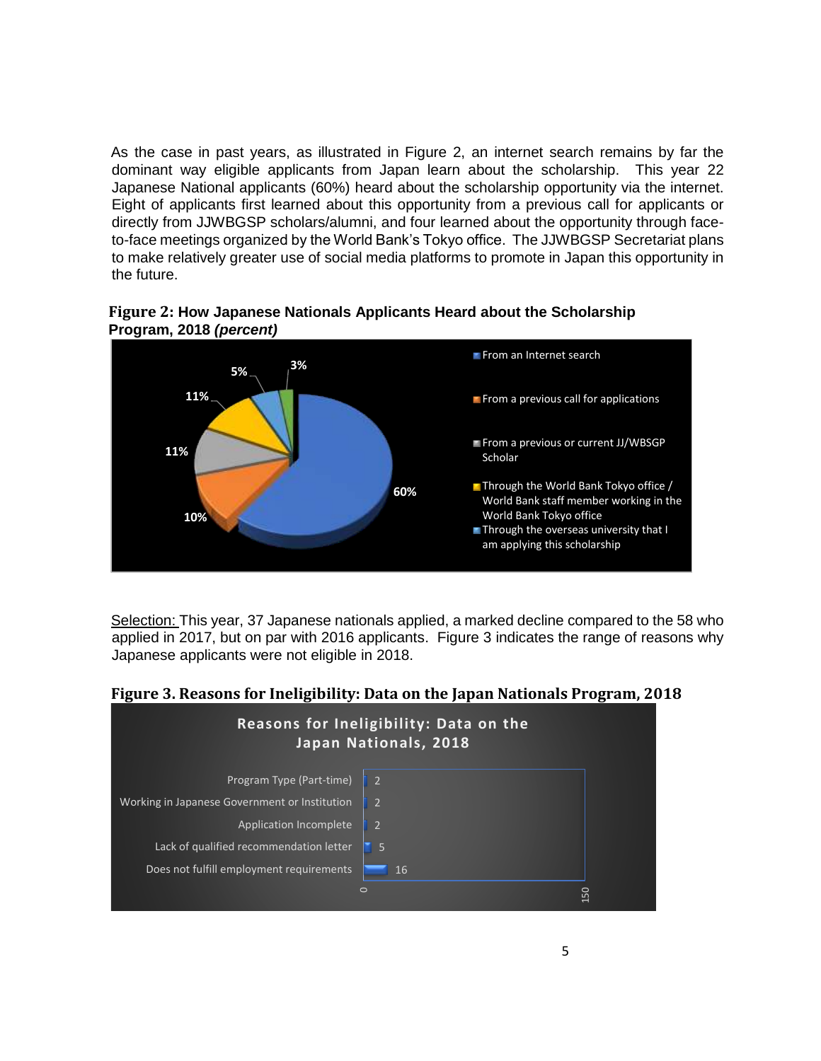As the case in past years, as illustrated in Figure 2, an internet search remains by far the dominant way eligible applicants from Japan learn about the scholarship. This year 22 Japanese National applicants (60%) heard about the scholarship opportunity via the internet. Eight of applicants first learned about this opportunity from a previous call for applicants or directly from JJWBGSP scholars/alumni, and four learned about the opportunity through faceto-face meetings organized by the World Bank's Tokyo office. The JJWBGSP Secretariat plans to make relatively greater use of social media platforms to promote in Japan this opportunity in the future.



**Figure 2: How Japanese Nationals Applicants Heard about the Scholarship Program, 2018** *(percent)*

Selection: This year, 37 Japanese nationals applied, a marked decline compared to the 58 who applied in 2017, but on par with 2016 applicants. Figure 3 indicates the range of reasons why Japanese applicants were not eligible in 2018.



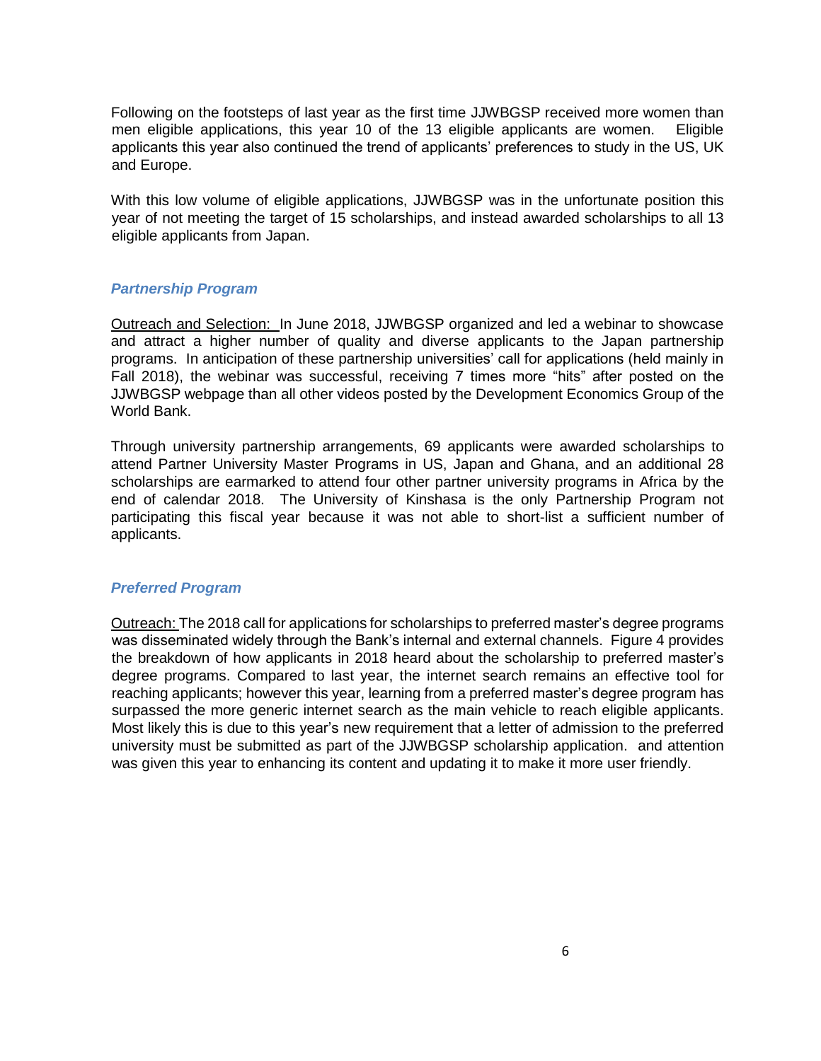Following on the footsteps of last year as the first time JJWBGSP received more women than men eligible applications, this year 10 of the 13 eligible applicants are women. Eligible applicants this year also continued the trend of applicants' preferences to study in the US, UK and Europe.

With this low volume of eligible applications, JJWBGSP was in the unfortunate position this year of not meeting the target of 15 scholarships, and instead awarded scholarships to all 13 eligible applicants from Japan.

#### *Partnership Program*

Outreach and Selection: In June 2018, JJWBGSP organized and led a webinar to showcase and attract a higher number of quality and diverse applicants to the Japan partnership programs. In anticipation of these partnership universities' call for applications (held mainly in Fall 2018), the webinar was successful, receiving 7 times more "hits" after posted on the JJWBGSP webpage than all other videos posted by the Development Economics Group of the World Bank.

Through university partnership arrangements, 69 applicants were awarded scholarships to attend Partner University Master Programs in US, Japan and Ghana, and an additional 28 scholarships are earmarked to attend four other partner university programs in Africa by the end of calendar 2018. The University of Kinshasa is the only Partnership Program not participating this fiscal year because it was not able to short-list a sufficient number of applicants.

#### *Preferred Program*

Outreach: The 2018 call for applications for scholarships to preferred master's degree programs was disseminated widely through the Bank's internal and external channels. Figure 4 provides the breakdown of how applicants in 2018 heard about the scholarship to preferred master's degree programs. Compared to last year, the internet search remains an effective tool for reaching applicants; however this year, learning from a preferred master's degree program has surpassed the more generic internet search as the main vehicle to reach eligible applicants. Most likely this is due to this year's new requirement that a letter of admission to the preferred university must be submitted as part of the JJWBGSP scholarship application. and attention was given this year to enhancing its content and updating it to make it more user friendly.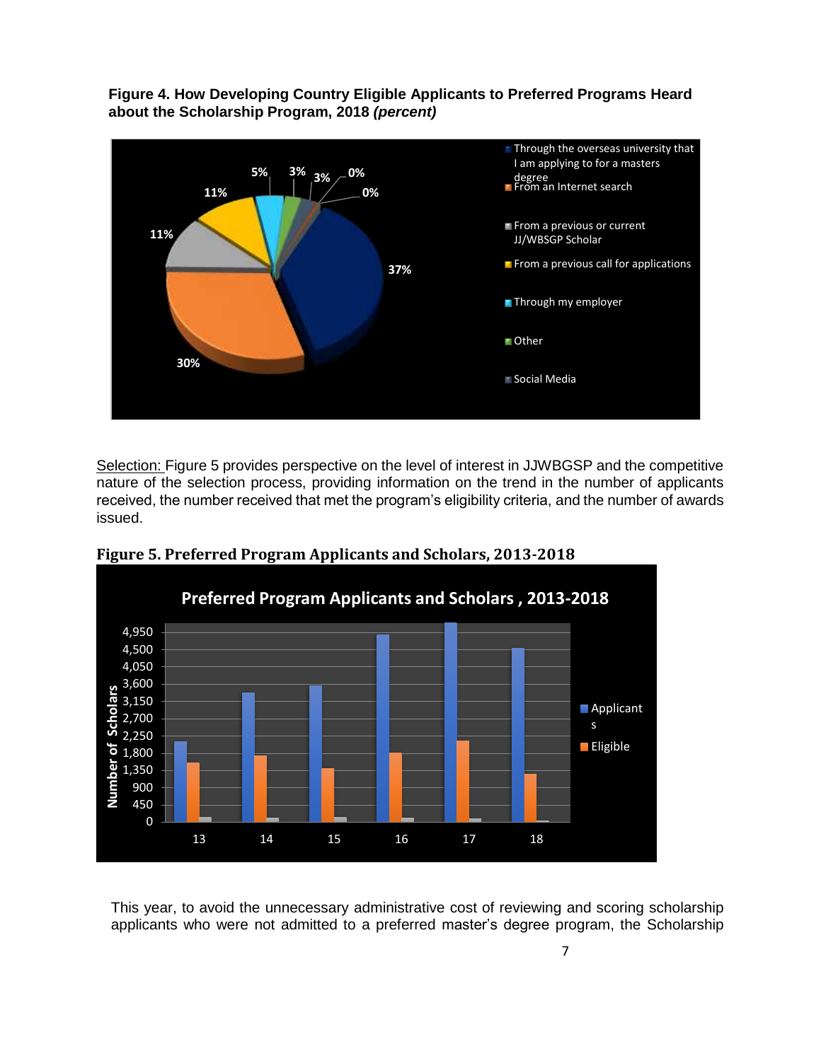**Figure 4. How Developing Country Eligible Applicants to Preferred Programs Heard about the Scholarship Program, 2018** *(percent)*



Selection: Figure 5 provides perspective on the level of interest in JJWBGSP and the competitive nature of the selection process, providing information on the trend in the number of applicants received, the number received that met the program's eligibility criteria, and the number of awards issued.



**Figure 5. Preferred Program Applicants and Scholars, 2013-2018**

This year, to avoid the unnecessary administrative cost of reviewing and scoring scholarship applicants who were not admitted to a preferred master's degree program, the Scholarship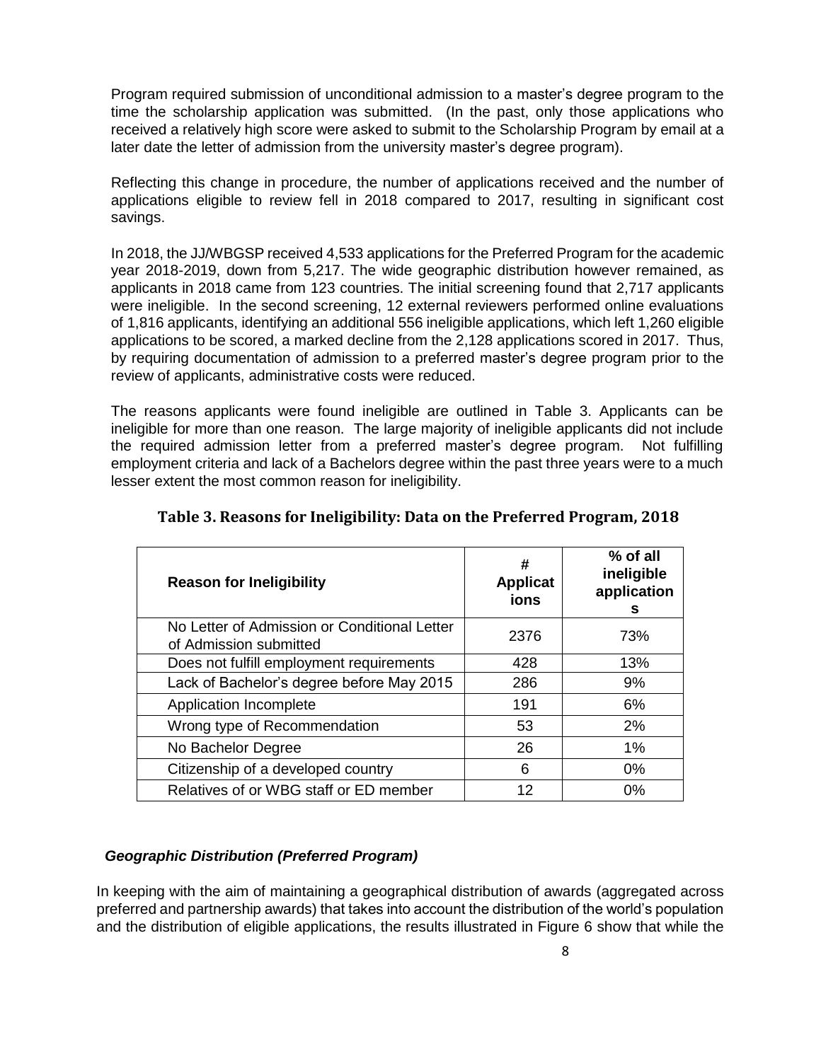Program required submission of unconditional admission to a master's degree program to the time the scholarship application was submitted. (In the past, only those applications who received a relatively high score were asked to submit to the Scholarship Program by email at a later date the letter of admission from the university master's degree program).

Reflecting this change in procedure, the number of applications received and the number of applications eligible to review fell in 2018 compared to 2017, resulting in significant cost savings.

In 2018, the JJ/WBGSP received 4,533 applications for the Preferred Program for the academic year 2018-2019, down from 5,217. The wide geographic distribution however remained, as applicants in 2018 came from 123 countries. The initial screening found that 2,717 applicants were ineligible. In the second screening, 12 external reviewers performed online evaluations of 1,816 applicants, identifying an additional 556 ineligible applications, which left 1,260 eligible applications to be scored, a marked decline from the 2,128 applications scored in 2017. Thus, by requiring documentation of admission to a preferred master's degree program prior to the review of applicants, administrative costs were reduced.

The reasons applicants were found ineligible are outlined in Table 3. Applicants can be ineligible for more than one reason. The large majority of ineligible applicants did not include the required admission letter from a preferred master's degree program. Not fulfilling employment criteria and lack of a Bachelors degree within the past three years were to a much lesser extent the most common reason for ineligibility.

| <b>Reason for Ineligibility</b>                                        | #<br><b>Applicat</b><br>ions | $%$ of all<br>ineligible<br>application<br>s |
|------------------------------------------------------------------------|------------------------------|----------------------------------------------|
| No Letter of Admission or Conditional Letter<br>of Admission submitted | 2376                         | 73%                                          |
| Does not fulfill employment requirements                               | 428                          | 13%                                          |
| Lack of Bachelor's degree before May 2015                              | 286                          | 9%                                           |
| Application Incomplete                                                 | 191                          | 6%                                           |
| Wrong type of Recommendation                                           | 53                           | 2%                                           |
| No Bachelor Degree                                                     | 26                           | $1\%$                                        |
| Citizenship of a developed country                                     | 6                            | $0\%$                                        |
| Relatives of or WBG staff or ED member                                 | 12                           | 0%                                           |

#### **Table 3. Reasons for Ineligibility: Data on the Preferred Program, 2018**

#### *Geographic Distribution (Preferred Program)*

In keeping with the aim of maintaining a geographical distribution of awards (aggregated across preferred and partnership awards) that takes into account the distribution of the world's population and the distribution of eligible applications, the results illustrated in Figure 6 show that while the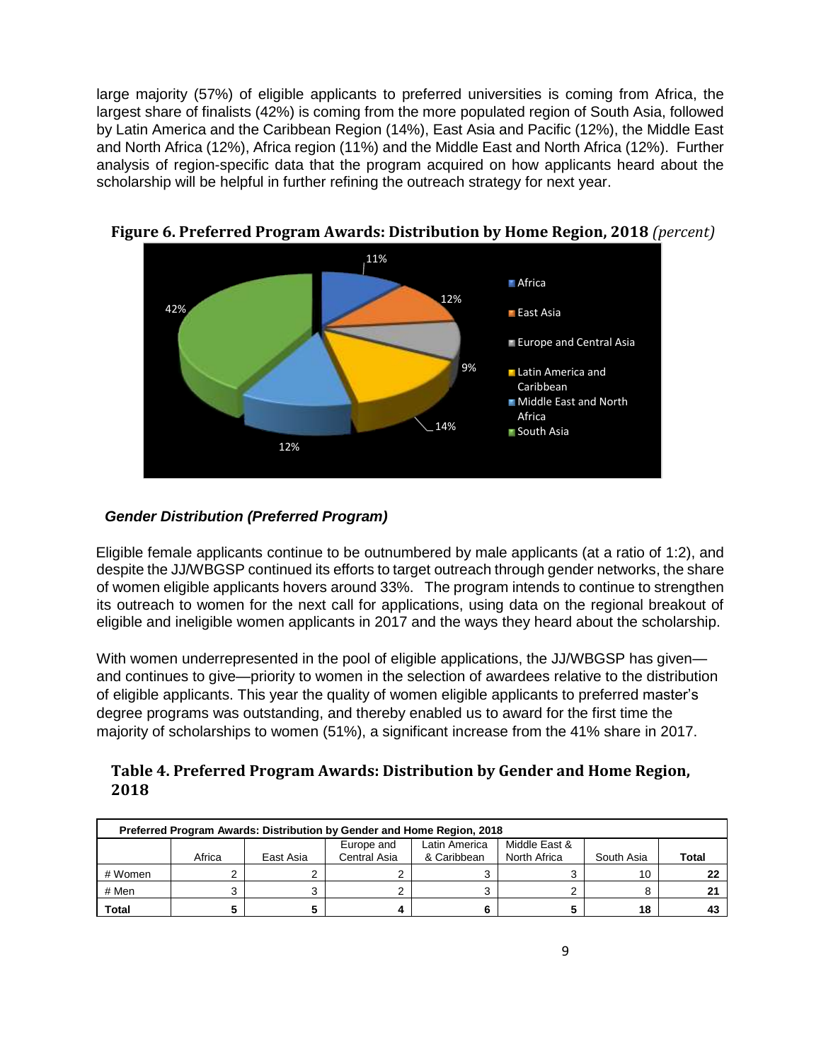large majority (57%) of eligible applicants to preferred universities is coming from Africa, the largest share of finalists (42%) is coming from the more populated region of South Asia, followed by Latin America and the Caribbean Region (14%), East Asia and Pacific (12%), the Middle East and North Africa (12%), Africa region (11%) and the Middle East and North Africa (12%). Further analysis of region-specific data that the program acquired on how applicants heard about the scholarship will be helpful in further refining the outreach strategy for next year.



**Figure 6. Preferred Program Awards: Distribution by Home Region, 2018** *(percent)*

#### *Gender Distribution (Preferred Program)*

Eligible female applicants continue to be outnumbered by male applicants (at a ratio of 1:2), and despite the JJ/WBGSP continued its efforts to target outreach through gender networks, the share of women eligible applicants hovers around 33%. The program intends to continue to strengthen its outreach to women for the next call for applications, using data on the regional breakout of eligible and ineligible women applicants in 2017 and the ways they heard about the scholarship.

With women underrepresented in the pool of eligible applications, the JJ/WBGSP has given and continues to give—priority to women in the selection of awardees relative to the distribution of eligible applicants. This year the quality of women eligible applicants to preferred master's degree programs was outstanding, and thereby enabled us to award for the first time the majority of scholarships to women (51%), a significant increase from the 41% share in 2017.

| Table 4. Preferred Program Awards: Distribution by Gender and Home Region, |
|----------------------------------------------------------------------------|
| 2018                                                                       |

| Preferred Program Awards: Distribution by Gender and Home Region, 2018 |        |           |                            |                              |                               |            |              |  |  |  |
|------------------------------------------------------------------------|--------|-----------|----------------------------|------------------------------|-------------------------------|------------|--------------|--|--|--|
|                                                                        | Africa | East Asia | Europe and<br>Central Asia | Latin America<br>& Caribbean | Middle East &<br>North Africa | South Asia | <b>Total</b> |  |  |  |
| # Women                                                                |        |           |                            |                              |                               | 10         |              |  |  |  |
| # Men                                                                  |        |           |                            |                              |                               |            |              |  |  |  |
| <b>Total</b>                                                           |        |           |                            |                              |                               | 18         |              |  |  |  |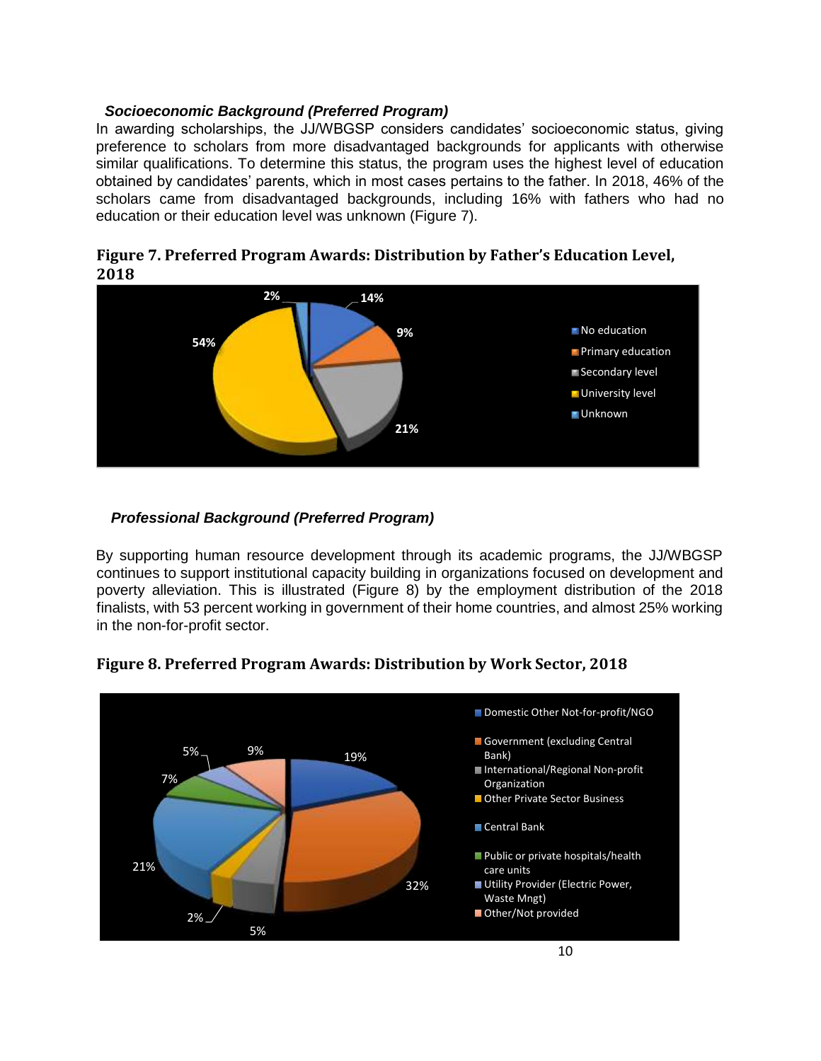#### *Socioeconomic Background (Preferred Program)*

In awarding scholarships, the JJ/WBGSP considers candidates' socioeconomic status, giving preference to scholars from more disadvantaged backgrounds for applicants with otherwise similar qualifications. To determine this status, the program uses the highest level of education obtained by candidates' parents, which in most cases pertains to the father. In 2018, 46% of the scholars came from disadvantaged backgrounds, including 16% with fathers who had no education or their education level was unknown (Figure 7).

**Figure 7. Preferred Program Awards: Distribution by Father's Education Level, 2018**



#### *Professional Background (Preferred Program)*

By supporting human resource development through its academic programs, the JJ/WBGSP continues to support institutional capacity building in organizations focused on development and poverty alleviation. This is illustrated (Figure 8) by the employment distribution of the 2018 finalists, with 53 percent working in government of their home countries, and almost 25% working in the non-for-profit sector.



#### **Figure 8. Preferred Program Awards: Distribution by Work Sector, 2018**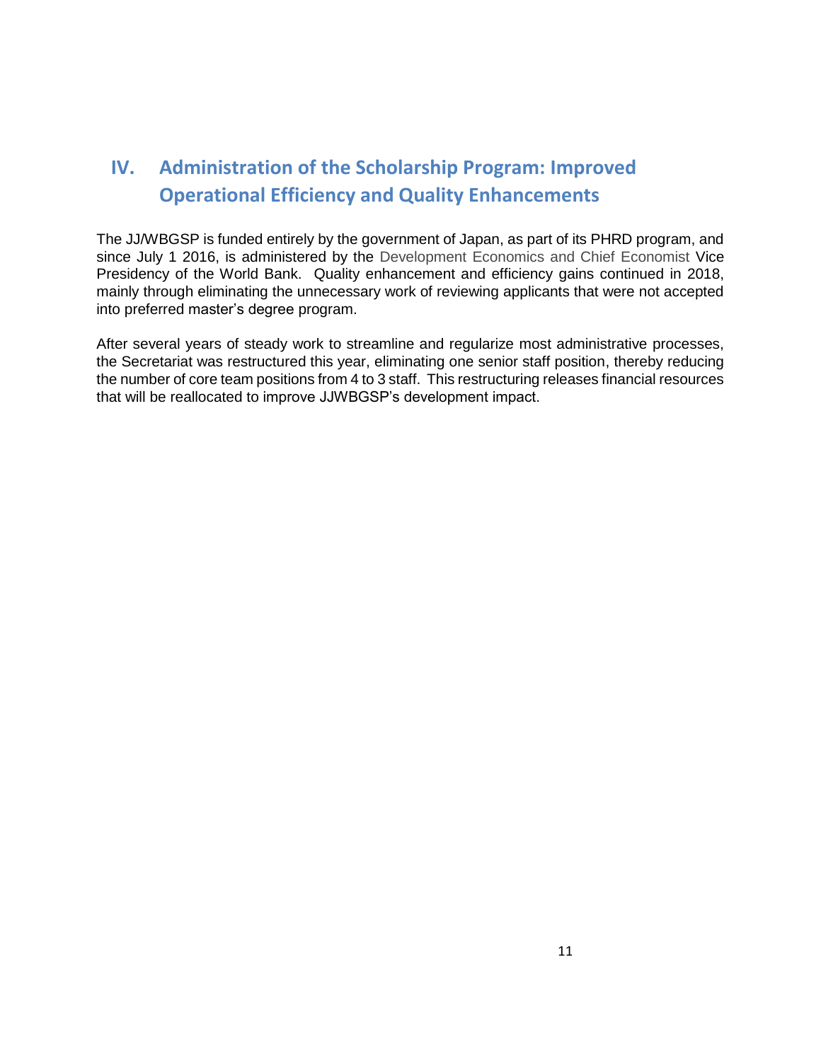## **IV. Administration of the Scholarship Program: Improved Operational Efficiency and Quality Enhancements**

The JJ/WBGSP is funded entirely by the government of Japan, as part of its PHRD program, and since July 1 2016, is administered by the Development Economics and Chief Economist Vice Presidency of the World Bank. Quality enhancement and efficiency gains continued in 2018, mainly through eliminating the unnecessary work of reviewing applicants that were not accepted into preferred master's degree program.

After several years of steady work to streamline and regularize most administrative processes, the Secretariat was restructured this year, eliminating one senior staff position, thereby reducing the number of core team positions from 4 to 3 staff. This restructuring releases financial resources that will be reallocated to improve JJWBGSP's development impact.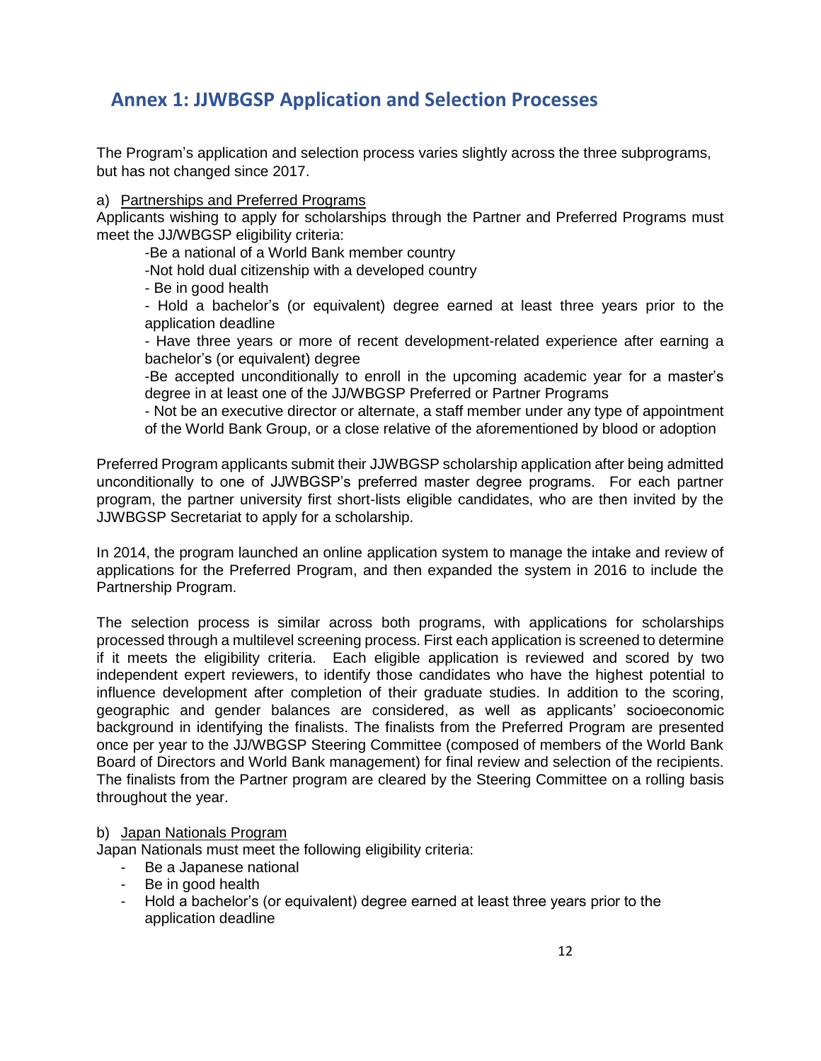### **Annex 1: JJWBGSP Application and Selection Processes**

The Program's application and selection process varies slightly across the three subprograms, but has not changed since 2017.

#### a) Partnerships and Preferred Programs

Applicants wishing to apply for scholarships through the Partner and Preferred Programs must meet the JJ/WBGSP eligibility criteria:

-Be a national of a World Bank member country

-Not hold dual citizenship with a developed country

- Be in good health

- Hold a bachelor's (or equivalent) degree earned at least three years prior to the application deadline

- Have three years or more of recent development-related experience after earning a bachelor's (or equivalent) degree

-Be accepted unconditionally to enroll in the upcoming academic year for a master's degree in at least one of the JJ/WBGSP Preferred or Partner Programs

- Not be an executive director or alternate, a staff member under any type of appointment of the World Bank Group, or a close relative of the aforementioned by blood or adoption

Preferred Program applicants submit their JJWBGSP scholarship application after being admitted unconditionally to one of JJWBGSP's preferred master degree programs. For each partner program, the partner university first short-lists eligible candidates, who are then invited by the JJWBGSP Secretariat to apply for a scholarship.

In 2014, the program launched an online application system to manage the intake and review of applications for the Preferred Program, and then expanded the system in 2016 to include the Partnership Program.

The selection process is similar across both programs, with applications for scholarships processed through a multilevel screening process. First each application is screened to determine if it meets the eligibility criteria. Each eligible application is reviewed and scored by two independent expert reviewers, to identify those candidates who have the highest potential to influence development after completion of their graduate studies. In addition to the scoring, geographic and gender balances are considered, as well as applicants' socioeconomic background in identifying the finalists. The finalists from the Preferred Program are presented once per year to the JJ/WBGSP Steering Committee (composed of members of the World Bank Board of Directors and World Bank management) for final review and selection of the recipients. The finalists from the Partner program are cleared by the Steering Committee on a rolling basis throughout the year.

#### b) Japan Nationals Program

Japan Nationals must meet the following eligibility criteria:

- Be a Japanese national
- Be in good health
- Hold a bachelor's (or equivalent) degree earned at least three years prior to the application deadline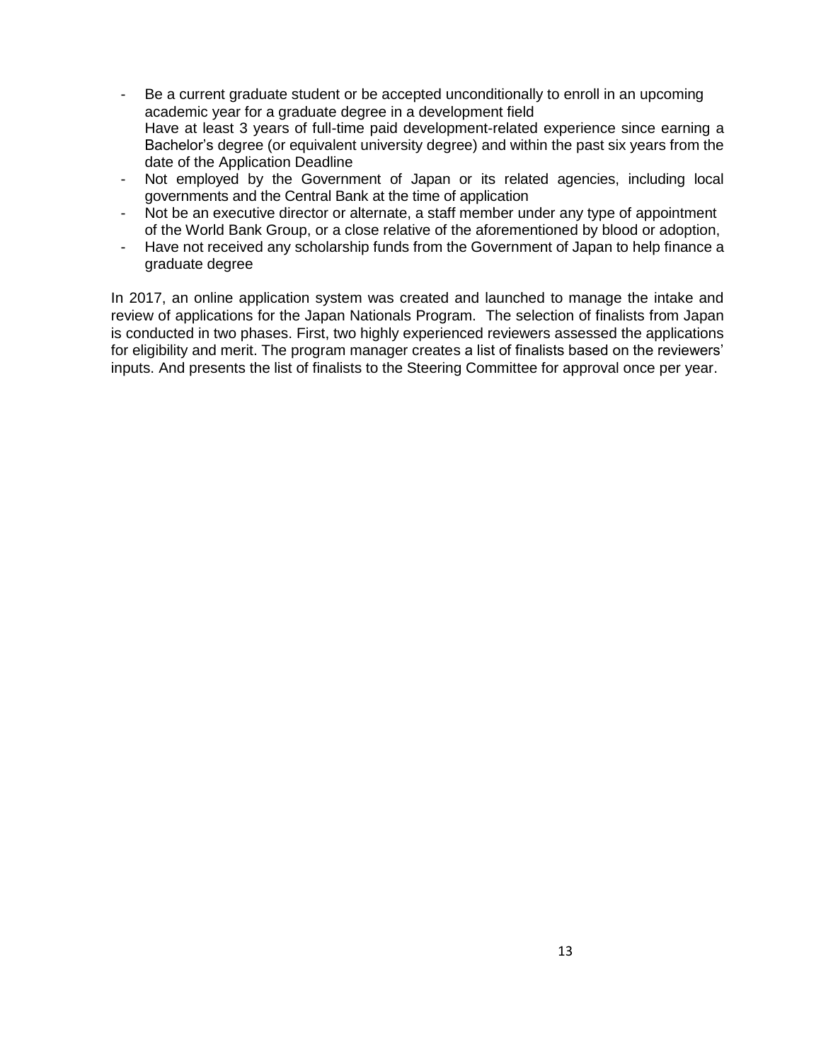- Be a current graduate student or be accepted unconditionally to enroll in an upcoming academic year for a graduate degree in a development field Have at least 3 years of full-time paid development-related experience since earning a Bachelor's degree (or equivalent university degree) and within the past six years from the date of the Application Deadline
- Not employed by the Government of Japan or its related agencies, including local governments and the Central Bank at the time of application
- Not be an executive director or alternate, a staff member under any type of appointment of the World Bank Group, or a close relative of the aforementioned by blood or adoption,
- Have not received any scholarship funds from the Government of Japan to help finance a graduate degree

In 2017, an online application system was created and launched to manage the intake and review of applications for the Japan Nationals Program. The selection of finalists from Japan is conducted in two phases. First, two highly experienced reviewers assessed the applications for eligibility and merit. The program manager creates a list of finalists based on the reviewers' inputs. And presents the list of finalists to the Steering Committee for approval once per year.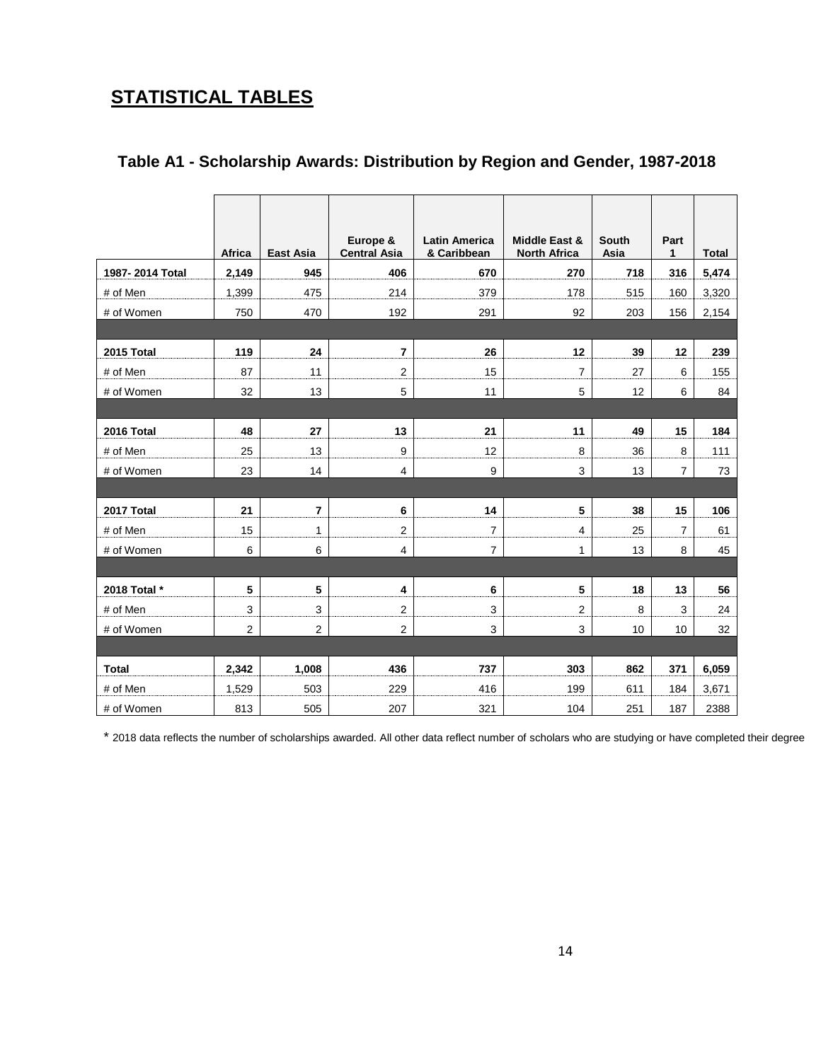## **STATISTICAL TABLES**

|                 | Africa         | <b>East Asia</b> | Europe &<br><b>Central Asia</b> | <b>Latin America</b><br>& Caribbean | <b>Middle East &amp;</b><br><b>North Africa</b> | <b>South</b><br>Asia | Part<br>$\mathbf{1}$ | <b>Total</b> |
|-----------------|----------------|------------------|---------------------------------|-------------------------------------|-------------------------------------------------|----------------------|----------------------|--------------|
| 1987-2014 Total | 2,149          | 945              | 406                             | 670                                 | 270                                             | 718                  | 316                  | 5,474        |
| # of Men        | 1,399          | 475              | 214                             | 379                                 | 178                                             | 515                  | 160                  | 3,320        |
| # of Women      | 750            | 470              | 192                             | 291                                 | 92                                              | 203                  | 156                  | 2,154        |
|                 |                |                  |                                 |                                     |                                                 |                      |                      |              |
| 2015 Total      | 119            | 24               | $\overline{7}$                  | 26                                  | 12                                              | 39                   | 12                   | 239          |
| # of Men        | 87             | 11               | $\overline{2}$                  | 15                                  | $\overline{7}$                                  | 27                   | 6                    | 155          |
| # of Women      | 32             | 13               | 5                               | 11                                  | $\overline{5}$                                  | 12                   | $\,6$                | 84           |
|                 |                |                  |                                 |                                     |                                                 |                      |                      |              |
| 2016 Total      | 48             | 27               | 13                              | 21                                  | 11                                              | 49                   | 15                   | 184          |
| # of Men        | 25             | 13               | 9                               | 12                                  | $\bf 8$                                         | 36                   | 8                    | 111          |
| # of Women      | 23             | 14               | $\overline{4}$                  | 9                                   | 3                                               | 13                   | $\overline{7}$       | 73           |
|                 |                |                  |                                 |                                     |                                                 |                      |                      |              |
| 2017 Total      | 21             | $\overline{7}$   | 6                               | 14                                  | 5                                               | 38                   | 15                   | 106          |
| # of Men        | 15             | 1                | $\overline{2}$                  | $\boldsymbol{7}$                    | 4                                               | 25                   | 7                    | 61           |
| # of Women      | 6              | 6                | $\overline{4}$                  | $\overline{7}$                      | $\mathbf{1}$                                    | 13                   | 8                    | 45           |
|                 |                |                  |                                 |                                     |                                                 |                      |                      |              |
| 2018 Total *    | 5              | 5                | 4                               | 6                                   | 5                                               | 18                   | 13                   | 56           |
| # of Men        | 3              | 3                | $\overline{2}$                  | 3                                   | $\boldsymbol{2}$                                | 8                    | 3                    | 24           |
| # of Women      | $\overline{2}$ | $\overline{c}$   | $\overline{2}$                  | 3                                   | $\mathbf{3}$                                    | 10                   | 10                   | 32           |
|                 |                |                  |                                 |                                     |                                                 |                      |                      |              |
| <b>Total</b>    | 2,342          | 1,008            | 436                             | 737                                 | 303                                             | 862                  | 371                  | 6,059        |
| # of Men        | 1,529          | 503              | 229                             | 416                                 | 199                                             | 611                  | 184                  | 3,671        |
| # of Women      | 813            | 505              | 207                             | 321                                 | 104                                             | 251                  | 187                  | 2388         |

#### **Table A1 - Scholarship Awards: Distribution by Region and Gender, 1987-2018**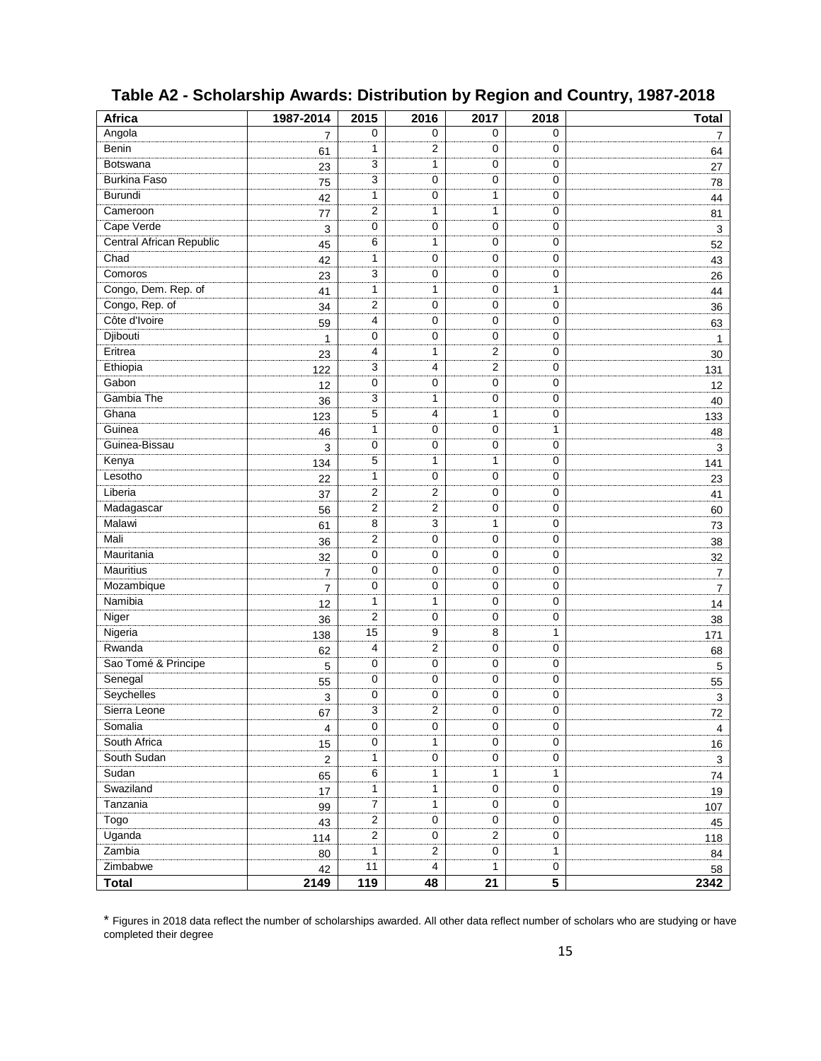| <b>Africa</b>            | 1987-2014      | 2015             | 2016             | 2017           | 2018                    | <b>Total</b>              |
|--------------------------|----------------|------------------|------------------|----------------|-------------------------|---------------------------|
| Angola                   | $\overline{7}$ | 0                | 0                | 0              | 0                       | 7                         |
| Benin                    | 61             | 1                | $\overline{2}$   | 0              | 0                       | 64                        |
| Botswana                 | 23             | 3                | 1                | 0              | 0                       | 27                        |
| <b>Burkina Faso</b>      | 75             | 3                | 0                | 0              | 0                       | 78                        |
| Burundi                  | 42             | 1                | 0                | 1              | $\mathbf 0$             | 44                        |
| Cameroon                 | 77             | 2                | $\mathbf{1}$     | 1              | $\mathbf 0$             | 81                        |
| Cape Verde               | $\mathsf 3$    | 0                | 0                | 0              | $\mathbf 0$             | 3                         |
| Central African Republic | 45             | 6                | $\mathbf{1}$     | 0              | $\mathbf 0$             | 52                        |
| Chad                     | 42             | 1                | 0                | 0              | $\pmb{0}$               | 43                        |
| Comoros                  | 23             | 3                | 0                | 0              | 0                       | 26                        |
| Congo, Dem. Rep. of      | 41             | 1                | 1                | 0              | 1                       | 44                        |
| Congo, Rep. of           | 34             | 2                | 0                | 0              | $\mathbf 0$             | 36                        |
| Côte d'Ivoire            | 59             | 4                | $\mathbf 0$      | 0              | $\pmb{0}$               | 63                        |
| Djibouti                 | $\mathbf{1}$   | 0                | $\mathbf 0$      | 0              | 0                       | $\mathbf{1}$              |
| Eritrea                  | 23             | 4                | $\mathbf{1}$     | $\overline{2}$ | 0                       | 30                        |
| Ethiopia                 | 122            | 3                | 4                | 2              | 0                       | 131                       |
| Gabon                    | 12             | 0                | $\mathbf 0$      | 0              | $\mathbf 0$             | 12                        |
| Gambia The               | 36             | 3                | 1                | 0              | $\mathbf 0$             | 40                        |
| Ghana                    | 123            | 5                | 4                | 1              | $\mathbf 0$             | 133                       |
| Guinea                   | 46             | 1                | 0                | 0              | 1                       | 48                        |
| Guinea-Bissau            | 3              | 0                | 0                | 0              | $\mathbf 0$             | 3                         |
| Kenya                    | 134            | 5                | 1                | 1              | $\mathbf 0$             | 141                       |
| Lesotho                  | 22             | 1                | 0                | 0              | $\mathbf 0$             | 23                        |
| Liberia                  | 37             | 2                | $\overline{2}$   | 0              | 0                       | 41                        |
| Madagascar               | 56             | 2                | $\overline{c}$   | 0              | $\mathbf 0$             | 60                        |
| Malawi                   | 61             | 8                | $\overline{3}$   | 1              | $\pmb{0}$               | 73                        |
| Mali                     | 36             | 2                | $\mathbf 0$      | 0              | 0                       | 38                        |
| Mauritania               | 32             | 0                | 0                | 0              | 0                       | 32                        |
| Mauritius                | 7              | 0                | 0                | 0              | 0                       | $\overline{7}$            |
| Mozambique               | 7              | 0                | $\mathbf 0$      | 0              | 0                       | $\overline{7}$            |
| Namibia                  | 12             | 1                | 1                | 0              | 0                       | 14                        |
| Niger                    | 36             | 2                | $\mathbf 0$      | 0              | 0                       | 38                        |
| Nigeria                  | 138            | 15               | 9                | 8              | 1                       | 171                       |
| Rwanda                   | 62             | 4                | $\overline{2}$   | 0              | $\mathbf 0$             | 68                        |
| Sao Tomé & Principe      | 5              | 0                | 0                | 0              | 0                       | 5                         |
| Senegal                  | 55             | 0                | 0                | 0              | 0                       | 55                        |
| Seychelles               | 3              | 0                | 0                | 0              | 0                       | $\ensuremath{\mathsf{3}}$ |
| Sierra Leone             | 67             | 3                | $\overline{2}$   | 0              | 0                       | 72                        |
| Somalia                  | $\overline{4}$ | $\mathbf 0$      | 0                | $\mathbf 0$    | 0                       | 4                         |
| South Africa             | 15             | $\mathbf 0$      | 1                | 0              | $\mathbf 0$             | 16                        |
| South Sudan              | $\mathbf 2$    | 1                | $\pmb{0}$        | 0              | $\mathbf 0$             | 3                         |
| Sudan                    | 65             | $\,6\,$          | $\mathbf{1}$     | 1              | $\mathbf{1}$            | 74                        |
| Swaziland                | 17             | $\mathbf{1}$     | $\mathbf{1}$     | 0              | $\mathbf 0$             | 19                        |
| Tanzania                 | 99             | $\boldsymbol{7}$ | 1                | 0              | 0                       | 107                       |
| Togo                     | 43             | $\overline{c}$   | $\pmb{0}$        | 0              | 0                       | 45                        |
| Uganda                   | 114            | $\overline{c}$   | 0                | $\overline{2}$ | 0                       | 118                       |
| Zambia                   | 80             | 1                | $\boldsymbol{2}$ | 0              | $\mathbf{1}$            | 84                        |
| Zimbabwe                 | 42             | 11               | $\overline{4}$   | 1              | $\mathbf 0$             | 58                        |
| <b>Total</b>             | 2149           | 119              | 48               | 21             | $\overline{\mathbf{5}}$ | 2342                      |

### **Table A2 - Scholarship Awards: Distribution by Region and Country, 1987-2018**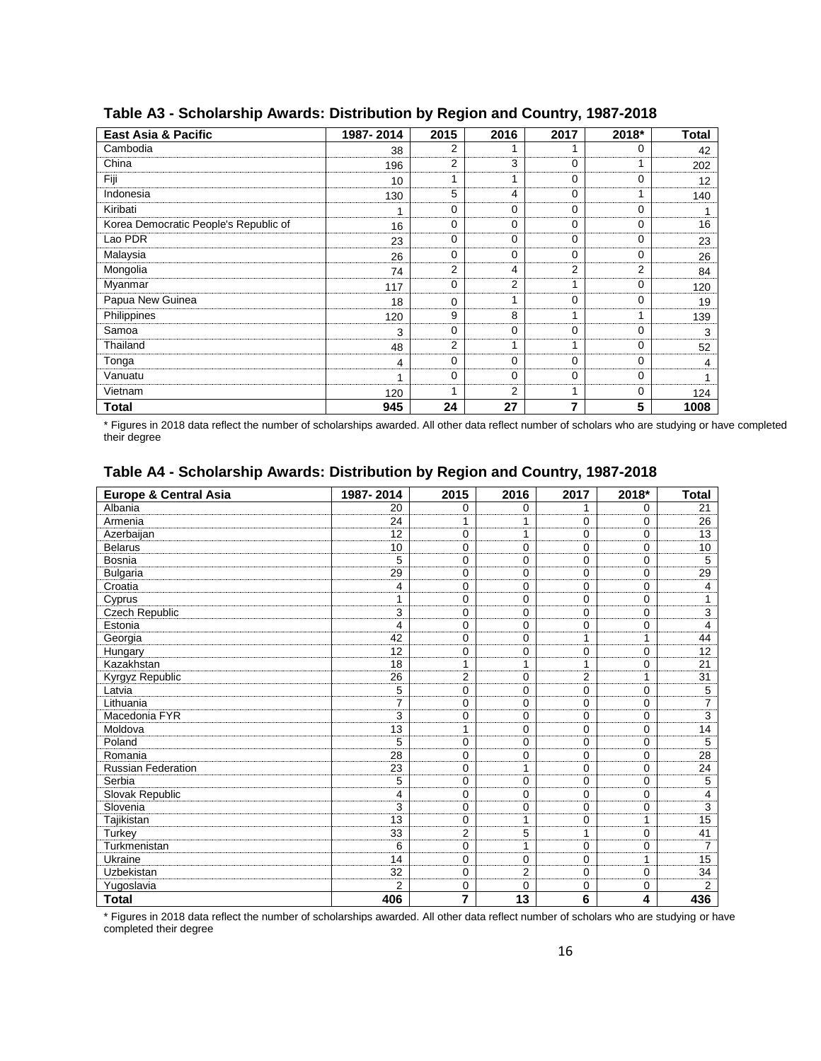| <b>East Asia &amp; Pacific</b>        | 1987-2014 | 2015           | 2016        | 2017     | 2018*    | <b>Total</b> |
|---------------------------------------|-----------|----------------|-------------|----------|----------|--------------|
| Cambodia                              | 38        | $\overline{2}$ | 1           |          | $\Omega$ | 42           |
| China                                 | 196       | 2              | 3           | 0        |          | 202          |
| Fiji                                  | 10        | 4              | 1           | 0        | 0        | 12           |
| Indonesia                             | 130       | 5              | 4           | 0        |          | 140          |
| Kiribati                              | 1         | $\Omega$       | 0           | 0        | 0        |              |
| Korea Democratic People's Republic of | 16        | 0              | $\mathbf 0$ | 0        | 0        | 16           |
| Lao PDR                               | 23        | $\Omega$       | $\mathbf 0$ | $\Omega$ | 0        | 23           |
| Malaysia                              | 26        | $\Omega$       | $\Omega$    | $\Omega$ | 0        | 26           |
| Mongolia                              | 74        | $\overline{2}$ | 4           | 2        | 2        | 84           |
| Myanmar                               | 117       | $\Omega$       | 2           |          | 0        | 120          |
| Papua New Guinea                      | 18        | $\Omega$       | 1           | 0        | 0        | 19           |
| Philippines                           | 120       | 9              | 8           |          |          | 139          |
| Samoa                                 | 3         | $\Omega$       | 0           | 0        | 0        | 3            |
| Thailand                              | 48        | $\overline{2}$ | 1           |          | 0        | 52           |
| Tonga                                 | 4         | $\Omega$       | 0           | $\Omega$ | 0        | 4            |
| Vanuatu                               | 1         | $\Omega$       | 0           | $\Omega$ | 0        |              |
| Vietnam                               | 120       | ۸              | 2           | ۸        | 0        | 124          |
| <b>Total</b>                          | 945       | 24             | 27          | 7        | 5        | 1008         |

#### **Table A3 - Scholarship Awards: Distribution by Region and Country, 1987-2018**

\* Figures in 2018 data reflect the number of scholarships awarded. All other data reflect number of scholars who are studying or have completed their degree

#### **Table A4 - Scholarship Awards: Distribution by Region and Country, 1987-2018**

| <b>Europe &amp; Central Asia</b> | 1987-2014      | 2015           | 2016           | 2017           | 2018*       | <b>Total</b>   |
|----------------------------------|----------------|----------------|----------------|----------------|-------------|----------------|
| Albania                          | 20             | 0              | 0              | 1              | 0           | 21             |
| Armenia                          | 24             | 1              | 1              | 0              | 0           | 26             |
| Azerbaijan                       | 12             | 0              | 1              | 0              | $\Omega$    | 13             |
| <b>Belarus</b>                   | 10             | 0              | 0              | 0              | 0           | 10             |
| Bosnia                           | 5              | 0              | 0              | 0              | 0           | 5              |
| <b>Bulgaria</b>                  | 29             | 0              | 0              | 0              | 0           | 29             |
| Croatia                          | 4              | $\Omega$       | $\Omega$       | 0              | $\Omega$    | 4              |
| Cyprus                           | 1              | 0              | 0              | $\mathbf 0$    | 0           | 1              |
| <b>Czech Republic</b>            | 3              | 0              | 0              | 0              | 0           | 3              |
| Estonia                          | 4              | 0              | 0              | 0              | 0           | 4              |
| Georgia                          | 42             | 0              | 0              | 1              | 1           | 44             |
| Hungary                          | 12             | 0              | 0              | 0              | 0           | 12             |
| Kazakhstan                       | 18             | 1              | 1              | 1              | 0           | 21             |
| Kyrgyz Republic                  | 26             | $\overline{2}$ | $\Omega$       | $\overline{2}$ | 1           | 31             |
| Latvia                           | 5              | 0              | 0              | $\mathbf 0$    | 0           | 5              |
| Lithuania                        | $\overline{7}$ | 0              | 0              | 0              | 0           | 7              |
| Macedonia FYR                    | 3              | 0              | 0              | 0              | $\Omega$    | $\overline{3}$ |
| Moldova                          | 13             | 1              | 0              | 0              | $\Omega$    | 14             |
| Poland                           | 5              | 0              | 0              | 0              | 0           | 5              |
| Romania                          | 28             | 0              | 0              | $\mathbf 0$    | $\mathbf 0$ | 28             |
| <b>Russian Federation</b>        | 23             | 0              | 1              | 0              | 0           | 24             |
| Serbia                           | 5              | 0              | 0              | 0              | 0           | 5              |
| Slovak Republic                  | 4              | 0              | 0              | 0              | 0           | 4              |
| Slovenia                         | 3              | 0              | 0              | 0              | 0           | 3              |
| Tajikistan                       | 13             | 0              | 1              | 0              | 1           | 15             |
| Turkey                           | 33             | $\overline{2}$ | 5              | 1              | 0           | 41             |
| Turkmenistan                     | 6              | 0              | 1              | $\mathbf 0$    | 0           | 7              |
| Ukraine                          | 14             | 0              | 0              | 0              | 1           | 15             |
| Uzbekistan                       | 32             | 0              | $\overline{2}$ | 0              | 0           | 34             |
| Yugoslavia                       | $\overline{2}$ | 0              | 0              | 0              | 0           | $\overline{2}$ |
| <b>Total</b>                     | 406            | 7              | 13             | 6              | 4           | 436            |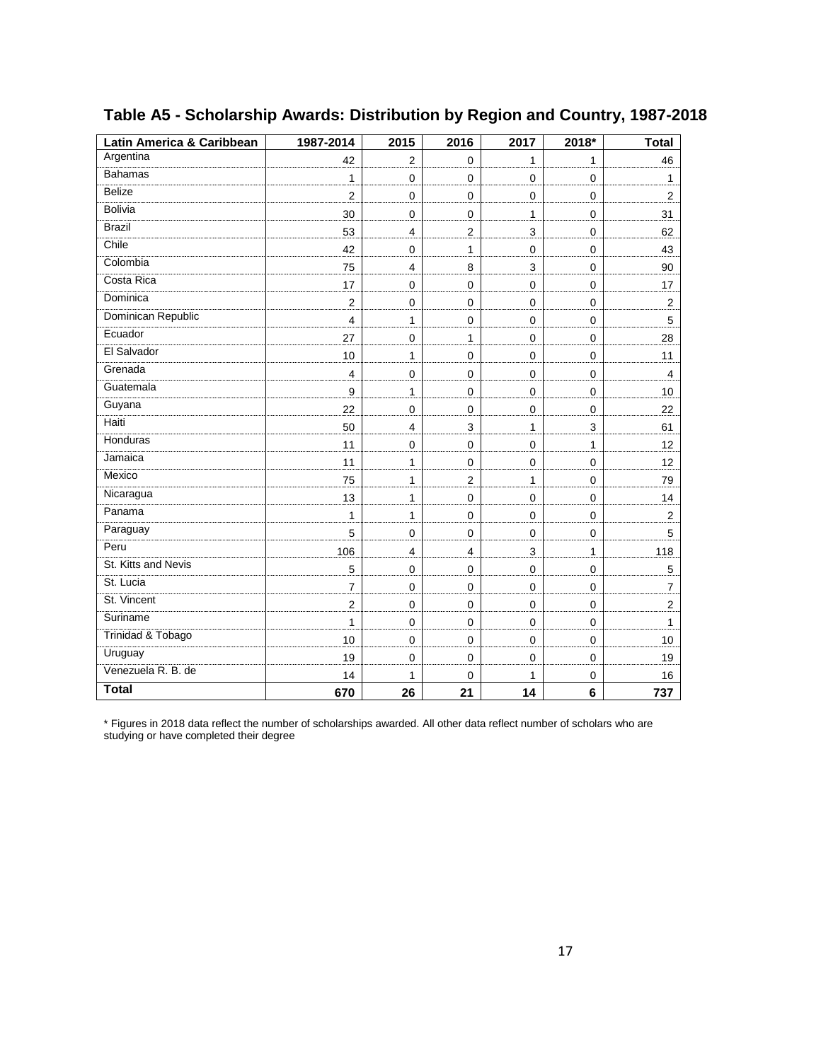| Latin America & Caribbean | 1987-2014               | 2015                    | 2016             | 2017         | $2018*$      | <b>Total</b>     |
|---------------------------|-------------------------|-------------------------|------------------|--------------|--------------|------------------|
| Argentina                 | 42                      | 2                       | $\mathbf 0$      | $\mathbf{1}$ | $\mathbf{1}$ | 46               |
| <b>Bahamas</b>            | $\mathbf{1}$            | $\mathbf 0$             | $\mathbf 0$      | $\mathbf 0$  | $\mathbf 0$  | $\mathbf{1}$     |
| <b>Belize</b>             | $\overline{2}$          | $\mathbf 0$             | $\mathbf 0$      | 0            | $\mathbf 0$  | $\boldsymbol{2}$ |
| <b>Bolivia</b>            | 30                      | $\pmb{0}$               | $\pmb{0}$        | $\mathbf{1}$ | $\mathbf 0$  | 31               |
| <b>Brazil</b>             | 53                      | $\overline{4}$          | $\overline{2}$   | 3            | $\pmb{0}$    | 62               |
| Chile                     | 42                      | $\mathbf 0$             | $\mathbf{1}$     | $\mathbf 0$  | $\mathbf 0$  | 43               |
| Colombia                  | 75                      | $\overline{\mathbf{4}}$ | 8                | 3            | $\mathbf 0$  | 90               |
| Costa Rica                | 17                      | 0                       | $\mathbf 0$      | $\mathbf 0$  | $\mathbf 0$  | 17               |
| Dominica                  | $\boldsymbol{2}$        | 0                       | $\mathbf 0$      | 0            | $\mathbf 0$  | $\overline{2}$   |
| Dominican Republic        | 4                       | 1                       | $\mathbf 0$      | $\mathbf 0$  | $\mathbf 0$  | 5                |
| Ecuador                   | 27                      | $\pmb{0}$               | $\mathbf{1}$     | $\mathbf 0$  | $\mathbf 0$  | 28               |
| El Salvador               | 10                      | 1                       | $\mathbf 0$      | $\mathbf 0$  | $\mathbf 0$  | 11               |
| Grenada                   | $\overline{\mathbf{4}}$ | $\pmb{0}$               | $\mathbf 0$      | $\mathbf 0$  | $\mathbf 0$  | 4                |
| Guatemala                 | 9                       | 1                       | $\boldsymbol{0}$ | $\mathbf 0$  | $\mathbf 0$  | 10               |
| Guyana                    | 22                      | $\mathbf 0$             | $\mathbf 0$      | $\mathbf 0$  | $\mathbf 0$  | 22               |
| Haiti                     | 50                      | 4                       | 3                | 1            | 3            | 61               |
| Honduras                  | 11                      | 0                       | $\mathbf 0$      | $\mathbf 0$  | $\mathbf{1}$ | 12               |
| Jamaica                   | 11                      | 1                       | $\mathbf 0$      | 0            | $\mathbf 0$  | 12               |
| Mexico                    | 75                      | 1                       | $\overline{2}$   | $\mathbf{1}$ | $\mathbf 0$  | 79               |
| Nicaragua                 | 13                      | 1                       | $\mathbf 0$      | $\mathbf 0$  | $\mathbf 0$  | 14               |
| Panama                    | $\mathbf{1}$            | 1                       | $\mathbf 0$      | $\mathbf 0$  | $\mathbf 0$  | $\mathbf 2$      |
| Paraguay                  | 5                       | $\mathbf 0$             | 0                | $\mathbf 0$  | $\mathbf 0$  | 5                |
| Peru                      | 106                     | 4                       | 4                | 3            | $\mathbf{1}$ | 118              |
| St. Kitts and Nevis       | 5                       | $\mathbf 0$             | $\mathbf 0$      | $\mathbf 0$  | $\mathbf 0$  | $\mathbf 5$      |
| St. Lucia                 | $\overline{7}$          | $\pmb{0}$               | $\mathbf 0$      | $\mathbf 0$  | $\mathbf 0$  | $\overline{7}$   |
| St. Vincent               | $\boldsymbol{2}$        | $\mathbf 0$             | $\mathbf 0$      | 0            | $\mathbf 0$  | $\boldsymbol{2}$ |
| Suriname                  | $\mathbf{1}$            | 0                       | $\boldsymbol{0}$ | $\mathbf 0$  | $\mathbf 0$  | 1                |
| Trinidad & Tobago         | 10                      | $\pmb{0}$               | $\mathbf 0$      | $\mathbf 0$  | $\mathbf 0$  | 10               |
| Uruguay                   | 19                      | $\mathbf 0$             | 0                | $\mathbf 0$  | $\mathbf 0$  | 19               |
| Venezuela R. B. de        | 14                      | 1                       | 0                | 1            | 0            | 16               |
| <b>Total</b>              | 670                     | 26                      | 21               | 14           | 6            | 737              |

### **Table A5 - Scholarship Awards: Distribution by Region and Country, 1987-2018**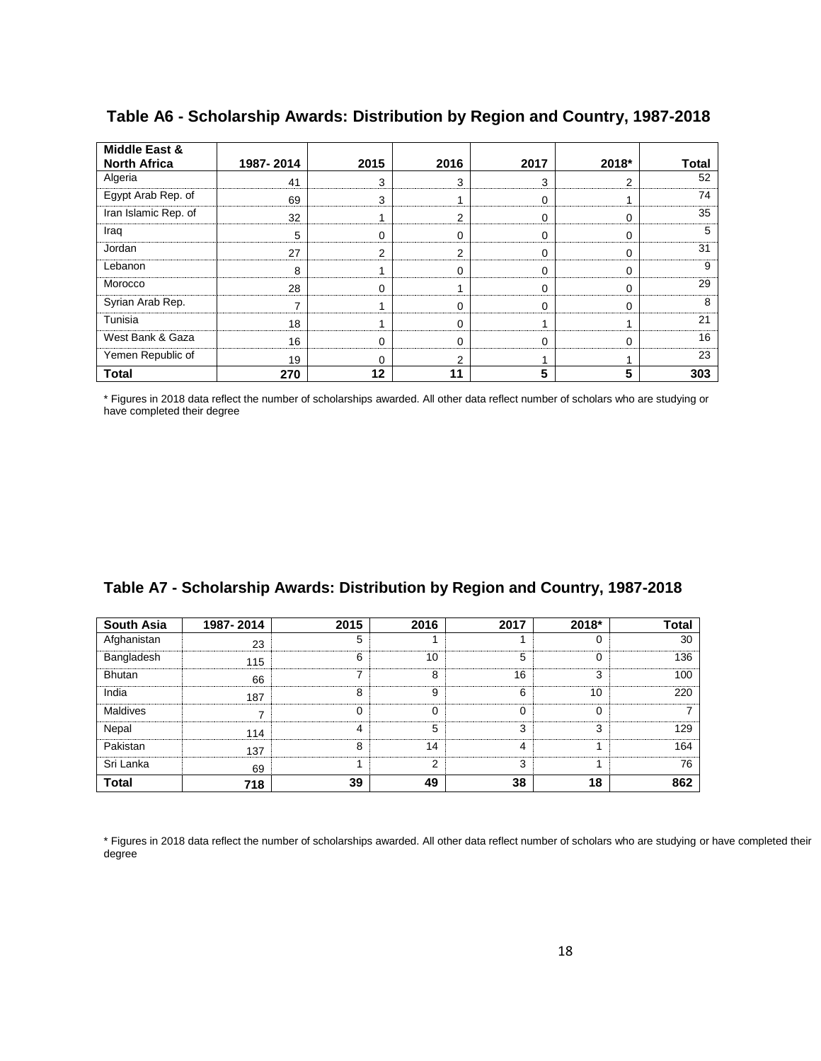| <b>Middle East &amp;</b><br><b>North Africa</b> | 1987-2014 | 2015           | 2016 | 2017     | 2018* | Total |
|-------------------------------------------------|-----------|----------------|------|----------|-------|-------|
|                                                 |           |                |      |          |       |       |
| Algeria                                         | 41        | 3              | 3    | 3        | 2     | 52    |
| Egypt Arab Rep. of                              | 69        | 3              |      | $\Omega$ |       | 74    |
| Iran Islamic Rep. of                            | 32        |                | 2    | 0        | 0     | 35    |
| Iraq                                            | 5         | 0              | 0    | $\Omega$ | 0     | 5     |
| Jordan                                          | 27        | $\overline{2}$ | っ    | $\Omega$ | 0     | 31    |
| Lebanon                                         | 8         |                | 0    | $\Omega$ | 0     | 9     |
| Morocco                                         | 28        | 0              |      | $\Omega$ | 0     | 29    |
| Syrian Arab Rep.                                | 7         |                | 0    | $\Omega$ | 0     | 8     |
| Tunisia                                         | 18        |                | U    |          |       | 21    |
| West Bank & Gaza                                | 16        | 0              | U    | $\Omega$ | 0     | 16    |
| Yemen Republic of                               | 19        | 0              | っ    |          |       | 23    |
| <b>Total</b>                                    | 270       | 12             | 11   | 5        | 5     | 303   |

**Table A6 - Scholarship Awards: Distribution by Region and Country, 1987-2018**

\* Figures in 2018 data reflect the number of scholarships awarded. All other data reflect number of scholars who are studying or have completed their degree

|  |  |  |  |  | Table A7 - Scholarship Awards: Distribution by Region and Country, 1987-2018 |
|--|--|--|--|--|------------------------------------------------------------------------------|
|--|--|--|--|--|------------------------------------------------------------------------------|

| South Asia    | 1987-2014 | 2015 | 2016 | 2017 | 2018* | <b>Total</b> |
|---------------|-----------|------|------|------|-------|--------------|
| Afghanistan   | 23        | 5    |      |      |       | 30           |
| Bangladesh    | 115       | 6    | 10   | 5    |       | 136          |
| <b>Bhutan</b> | 66        |      | 8    | 16   |       | 100          |
| India         | 187       | 8    | 9    | ี่ค  | 10    | 220          |
| Maldives      |           |      |      |      |       |              |
| Nepal         | 114       |      | 5    |      |       | 129          |
| Pakistan      | 137       | 8    | 14   |      |       | 164          |
| Sri Lanka     | 69        |      | っ    |      |       | 76           |
| <b>Total</b>  | 718       | 39   | 49   | 38   | 18    | 862          |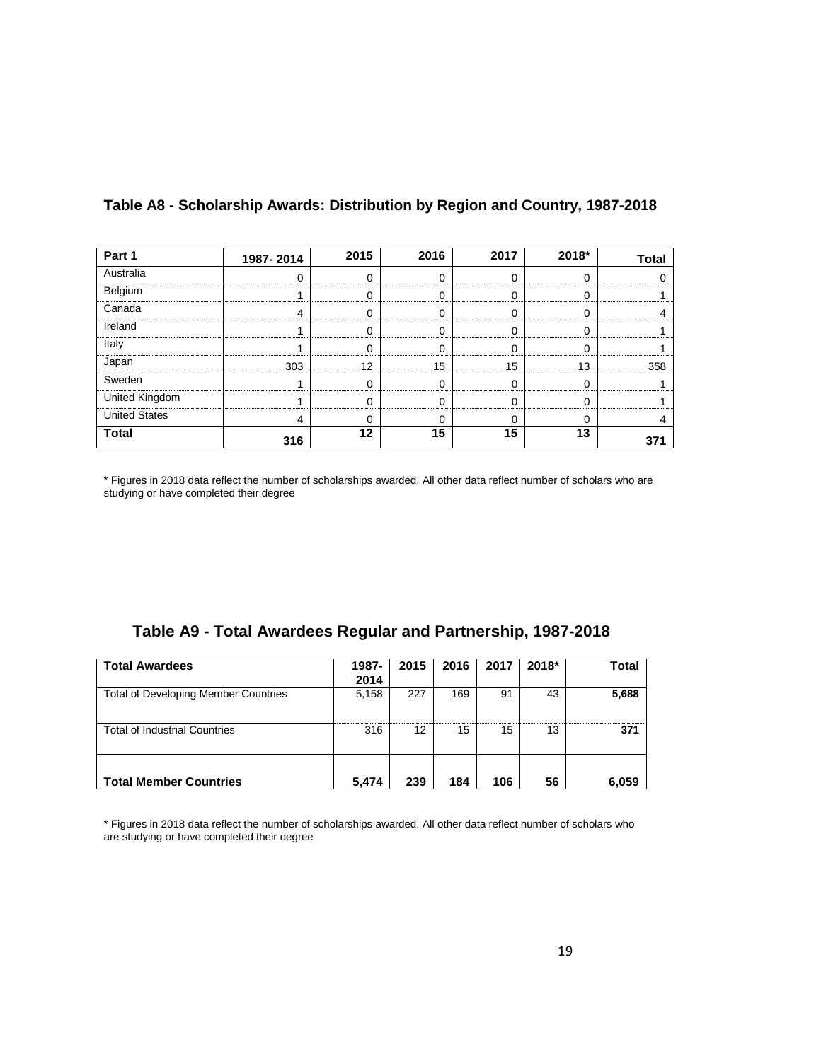| Part 1               | 1987-2014 | 2015 | 2016 | 2017 | 2018* | <b>Total</b> |
|----------------------|-----------|------|------|------|-------|--------------|
| Australia            |           |      |      |      |       |              |
| Belgium              |           |      |      |      |       |              |
| Canada               |           |      |      |      |       |              |
| Ireland              |           |      |      |      |       |              |
| Italy                |           |      |      |      |       |              |
| Japan                | 303       | 12   | 15   | 15   | 13    | 358          |
| Sweden               |           |      |      |      |       |              |
| United Kingdom       |           |      |      |      |       |              |
| <b>United States</b> | 4         |      |      | U    |       |              |
| <b>Total</b>         | 316       | 12   | 15   | 15   | 13    |              |

#### **Table A8 - Scholarship Awards: Distribution by Region and Country, 1987-2018**

\* Figures in 2018 data reflect the number of scholarships awarded. All other data reflect number of scholars who are studying or have completed their degree

|  |  |  |  | Table A9 - Total Awardees Regular and Partnership, 1987-2018 |
|--|--|--|--|--------------------------------------------------------------|
|--|--|--|--|--------------------------------------------------------------|

| <b>Total Awardees</b>                       | 1987-<br>2014 | 2015 | 2016 | 2017 | $2018*$ | Total |
|---------------------------------------------|---------------|------|------|------|---------|-------|
| <b>Total of Developing Member Countries</b> | 5,158         | 227  | 169  | 91   | 43      | 5,688 |
| <b>Total of Industrial Countries</b>        | 316           | 12   | 15   | 15   | 13      | 371   |
| <b>Total Member Countries</b>               | 5.474         | 239  | 184  | 106  | 56      | 6,059 |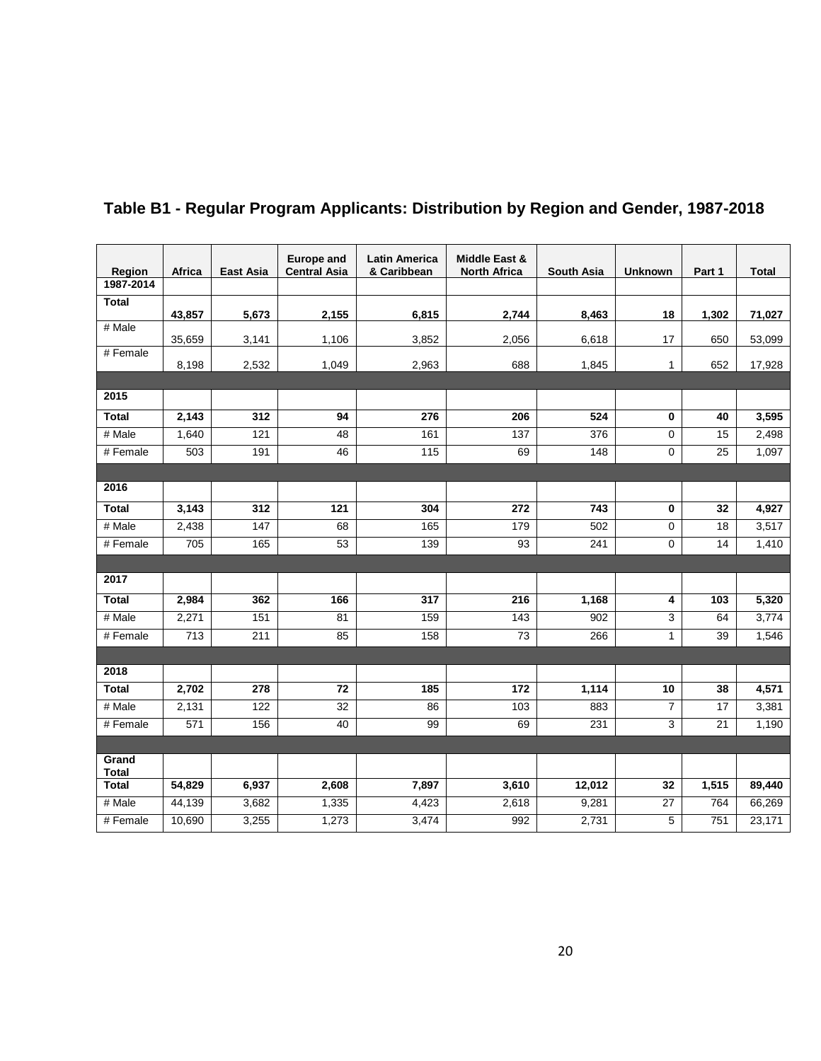| Region                | Africa           | <b>East Asia</b> | <b>Europe and</b><br><b>Central Asia</b> | <b>Latin America</b><br>& Caribbean | <b>Middle East &amp;</b><br><b>North Africa</b> | <b>South Asia</b> | <b>Unknown</b> | Part 1          | <b>Total</b> |
|-----------------------|------------------|------------------|------------------------------------------|-------------------------------------|-------------------------------------------------|-------------------|----------------|-----------------|--------------|
| 1987-2014             |                  |                  |                                          |                                     |                                                 |                   |                |                 |              |
| <b>Total</b>          | 43,857           | 5,673            | 2,155                                    | 6,815                               | 2,744                                           | 8,463             | 18             | 1,302           | 71,027       |
| # Male                | 35,659           | 3,141            | 1,106                                    | 3,852                               | 2,056                                           | 6,618             | 17             | 650             | 53,099       |
| # Female              | 8,198            | 2,532            | 1,049                                    | 2,963                               | 688                                             | 1,845             | 1              | 652             | 17,928       |
|                       |                  |                  |                                          |                                     |                                                 |                   |                |                 |              |
| 2015                  |                  |                  |                                          |                                     |                                                 |                   |                |                 |              |
| <b>Total</b>          | 2,143            | 312              | 94                                       | 276                                 | 206                                             | 524               | $\bf{0}$       | 40              | 3,595        |
| # Male                | 1,640            | 121              | 48                                       | 161                                 | 137                                             | 376               | 0              | 15              | 2,498        |
| # Female              | 503              | 191              | 46                                       | 115                                 | 69                                              | 148               | 0              | $\overline{25}$ | 1,097        |
|                       |                  |                  |                                          |                                     |                                                 |                   |                |                 |              |
| 2016                  |                  |                  |                                          |                                     |                                                 |                   |                |                 |              |
| <b>Total</b>          | 3,143            | 312              | 121                                      | 304                                 | 272                                             | 743               | $\bf{0}$       | 32              | 4,927        |
| # Male                | 2,438            | 147              | 68                                       | 165                                 | 179                                             | 502               | 0              | 18              | 3,517        |
| # Female              | 705              | 165              | 53                                       | 139                                 | 93                                              | 241               | 0              | $\overline{14}$ | 1,410        |
|                       |                  |                  |                                          |                                     |                                                 |                   |                |                 |              |
| 2017                  |                  |                  |                                          |                                     |                                                 |                   |                |                 |              |
| <b>Total</b>          | 2,984            | 362              | 166                                      | 317                                 | 216                                             | 1,168             | 4              | 103             | 5,320        |
| # Male                | 2,271            | 151              | 81                                       | 159                                 | 143                                             | 902               | 3              | 64              | 3,774        |
| $#$ Female            | $\overline{713}$ | 211              | 85                                       | 158                                 | $\overline{73}$                                 | 266               | 1              | 39              | 1,546        |
|                       |                  |                  |                                          |                                     |                                                 |                   |                |                 |              |
| 2018                  |                  |                  |                                          |                                     |                                                 |                   |                |                 |              |
| <b>Total</b>          | 2,702            | 278              | 72                                       | 185                                 | $\frac{1}{172}$                                 | 1,114             | 10             | 38              | 4,571        |
| # Male                | 2,131            | 122              | $\overline{32}$                          | 86                                  | 103                                             | 883               | 7              | 17              | 3,381        |
| # Female              | 571              | 156              | 40                                       | 99                                  | 69                                              | 231               | 3              | 21              | 1,190        |
|                       |                  |                  |                                          |                                     |                                                 |                   |                |                 |              |
| Grand<br><b>Total</b> |                  |                  |                                          |                                     |                                                 |                   |                |                 |              |
| <b>Total</b>          | 54,829           | 6,937            | 2,608                                    | 7,897                               | 3,610                                           | 12,012            | 32             | 1,515           | 89,440       |
| # Male                | 44,139           | 3,682            | 1,335                                    | 4,423                               | 2,618                                           | 9,281             | 27             | 764             | 66,269       |
| # Female              | 10,690           | 3,255            | 1,273                                    | 3,474                               | 992                                             | 2,731             | 5              | 751             | 23,171       |

### **Table B1 - Regular Program Applicants: Distribution by Region and Gender, 1987-2018**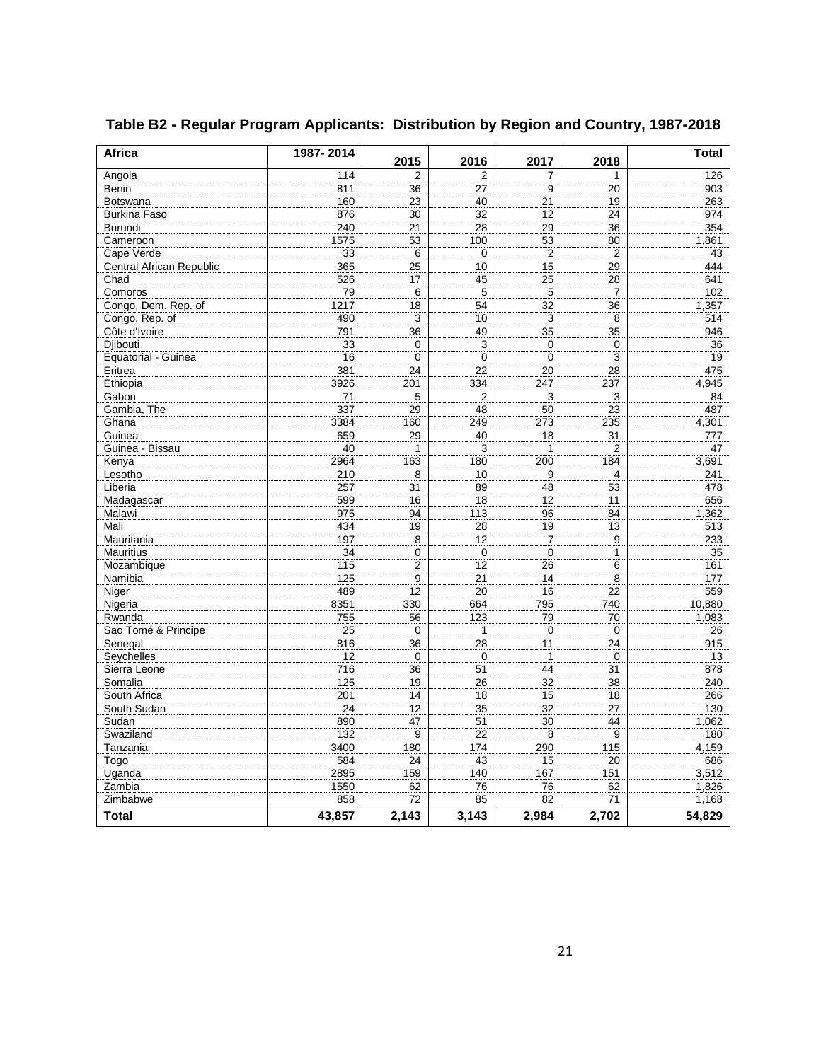| <b>Africa</b>                   | 1987-2014 | 2015           | 2016           | 2017           | 2018           | <b>Total</b>    |
|---------------------------------|-----------|----------------|----------------|----------------|----------------|-----------------|
| Angola                          | 114       | 2              | 2              | 7              | 1              | 126             |
| Benin                           | 811       | 36             | 27             | 9              | 20             | 903             |
| Botswana                        | 160       | 23             | 40             | 21             | 19             | 263             |
| <b>Burkina Faso</b>             | 876       | 30             | 32             | 12             | 24             | 974             |
| <b>Burundi</b>                  | 240       | 21             | 28             | 29             | 36             | 354             |
| Cameroon                        | 1575      | 53             | 100            | 53             | 80             | 1,861           |
| Cape Verde                      | 33        | 6              | $\Omega$       | $\overline{2}$ | $\overline{2}$ | 43              |
| <b>Central African Republic</b> | 365       | 25             | 10             | 15             | 29             | 444             |
| Chad                            | 526       | 17             | 45             | 25             | 28             | 641             |
| Comoros                         | 79        | 6              | 5              | 5              | 7              | 102             |
| Congo, Dem. Rep. of             | 1217      | 18             | 54             | 32             | 36             | 1.357           |
| Congo, Rep. of                  | 490       | 3              | 10             | 3              | 8              | 514             |
| Côte d'Ivoire                   | 791       | 36             | 49             | 35             | 35             | 946             |
| Djibouti                        | 33        | 0              | 3              | 0              | 0              | 36              |
| Equatorial - Guinea             | 16        | $\mathbf 0$    | $\Omega$       | $\mathbf 0$    | 3              | 19              |
| Eritrea                         | 381       | 24             | 22             | 20             | 28             | 475             |
| Ethiopia                        | 3926      | 201            | 334            | 247            | 237            | 4.945           |
| Gabon                           | 71        | 5              | $\overline{2}$ | 3              | 3              | 84              |
| Gambia, The                     | 337       | 29             | 48             | 50             | 23             | 487             |
| Ghana                           | 3384      | 160            | 249            | 273            | 235            | 4,301           |
| Guinea                          | 659       | 29             | 40             | 18             | 31             | 777             |
| Guinea - Bissau                 | 40        | $\mathbf{1}$   | 3              | $\mathbf{1}$   | 2              | 47              |
| Kenya                           | 2964      | 163            | 180            | 200            | 184            | 3,691           |
| Lesotho                         | 210       | 8              | 10             | 9              | 4              | 241             |
| Liberia                         | 257       | 31             | 89             | 48             | 53             | 478             |
| Madagascar                      | 599       | 16             | 18             | 12             | 11             | 656             |
| Malawi                          | 975       | 94             | 113            | 96             | 84             | 1,362           |
| Mali                            | 434       | 19             | 28             | 19             | 13             | 513             |
| Mauritania                      | 197       | 8              | 12             | $\overline{7}$ | 9              | 233             |
| <b>Mauritius</b>                | 34        | 0              | $\mathbf 0$    | $\mathbf 0$    | 1              | 35              |
| Mozambique                      | 115       | $\overline{2}$ | 12             | 26             | 6              | 161             |
| Namibia                         | 125       | 9              | 21             | 14             | 8              | 177             |
| Niger                           | 489       | 12             | 20             | 16             | 22             | 559             |
| Nigeria                         | 8351      | 330            | 664            | 795            | 740            | 10,880          |
| Rwanda                          | 755       | 56             | 123            | 79             | 70             | 1,083           |
| Sao Tomé & Principe             | 25        | 0              | $\mathbf{1}$   | 0              | $\mathbf 0$    | 26              |
| Senegal                         | 816       | 36             | 28             | 11             | 24             | 915             |
| Seychelles                      | 12        | 0              | 0              | 1              | 0              | 13              |
| Sierra Leone                    | 716       | 36             | 51             | 44             | 31             | 878             |
| Somalia                         | 125       | 19             | 26             | 32             | 38             | 240             |
| South Africa                    | 201       | 14             | 18             | 15             | 18             | 266             |
| South Sudan                     | 24        | 12             | 35             | 32             | 27             | 130             |
| Sudan                           | 890       | 47             | 51             | 30             | 44             | 1,062           |
| Swaziland                       | 132       | 9              | 22             | 8              | 9              | 180             |
| Tanzania                        | 3400      | 180            | 174            | 290            | 115            | 4,159           |
| Togo                            | 584       | 24             | 43             | 15             | 20             | 686             |
| Uganda                          | 2895      | 159            | 140            | 167            | 151            | 3,512           |
| Zambia                          | 1550      | 62             | 76             | 76             | 62             | 1.826           |
| Zimbabwe                        | 858       | 72             | 85             | 82             | 71             |                 |
| <b>Total</b>                    | 43,857    | 2,143          | 3,143          | 2,984          | 2,702          | 1,168<br>54,829 |

### **Table B2 - Regular Program Applicants: Distribution by Region and Country, 1987-2018**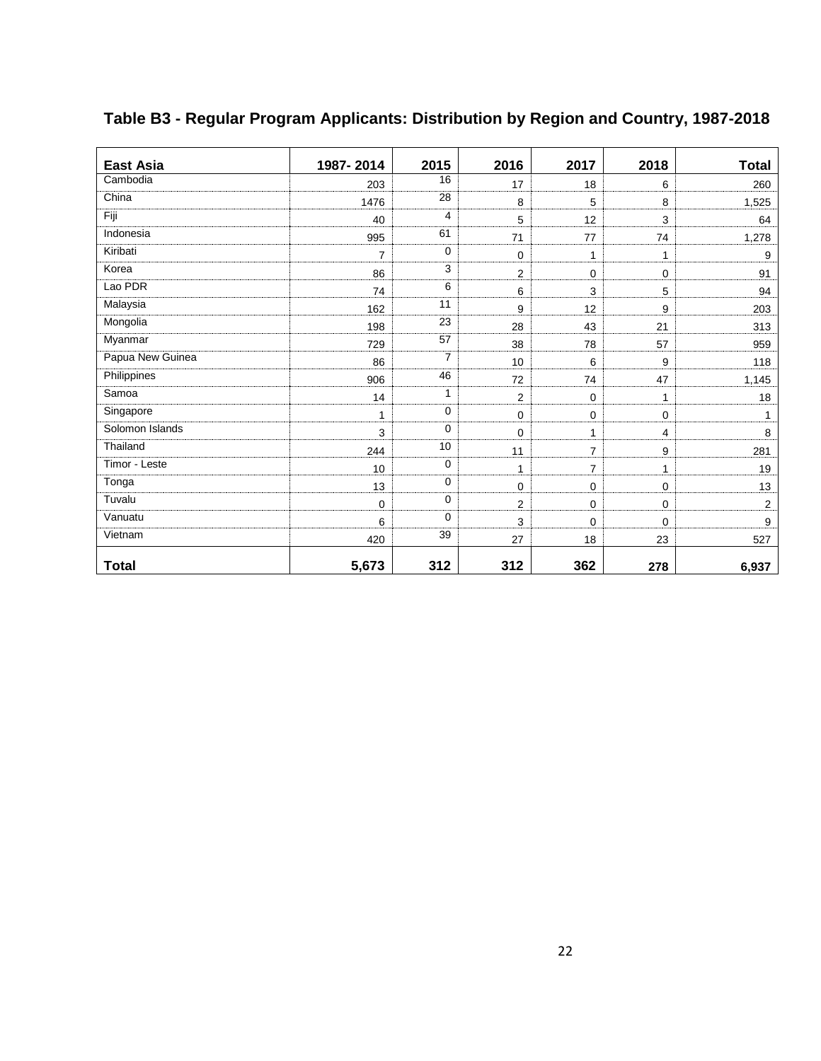| <b>East Asia</b> | 1987-2014      | 2015           | 2016           | 2017           | 2018           | <b>Total</b> |
|------------------|----------------|----------------|----------------|----------------|----------------|--------------|
| Cambodia         | 203            | 16             | 17             | 18             | 6              | 260          |
| China            | 1476           | 28             | 8              | 5              | 8              | 1,525        |
| Fiji             | 40             | $\overline{4}$ | 5              | 12             | $\mathbf{3}$   | 64           |
| Indonesia        | 995            | 61             | 71             | 77             | 74             | 1,278        |
| Kiribati         | $\overline{7}$ | 0              | $\mathbf 0$    | 1              | $\mathbf{1}$   | 9            |
| Korea            | 86             | 3              | $\overline{2}$ | $\mathbf 0$    | 0              | 91           |
| Lao PDR          | 74             | 6              | 6              | 3              | 5              | 94           |
| Malaysia         | 162            | 11             | 9              | 12             | 9              | 203          |
| Mongolia         | 198            | 23             | 28             | 43             | 21             | 313          |
| Myanmar          | 729            | 57             | 38             | 78             | 57             | 959          |
| Papua New Guinea | 86             | $\overline{7}$ | 10             | 6              | 9              | 118          |
| Philippines      | 906            | 46             | 72             | 74             | 47             | 1,145        |
| Samoa            | 14             | 1              | $\overline{2}$ | $\mathbf 0$    | $\mathbf{1}$   | 18           |
| Singapore        | 1              | $\mathbf 0$    | 0              | 0              | $\mathbf 0$    |              |
| Solomon Islands  | 3              | $\mathbf 0$    | $\mathbf 0$    | $\mathbf{1}$   | $\overline{4}$ | 8            |
| Thailand         | 244            | 10             | 11             | $\overline{7}$ | 9              | 281          |
| Timor - Leste    | 10             | $\mathbf 0$    | $\mathbf{1}$   | $\overline{7}$ | $\mathbf{1}$   | 19           |
| Tonga            | 13             | 0              | 0              | $\mathbf 0$    | $\mathbf 0$    | 13           |
| Tuvalu           | 0              | $\mathbf 0$    | $\overline{2}$ | $\pmb{0}$      | $\mathbf 0$    | 2            |
| Vanuatu          | 6              | $\mathbf 0$    | 3              | $\mathbf 0$    | $\mathbf 0$    | 9            |
| Vietnam          | 420            | 39             | 27             | 18             | 23             | 527          |
| <b>Total</b>     | 5,673          | 312            | 312            | 362            | 278            | 6,937        |

## **Table B3 - Regular Program Applicants: Distribution by Region and Country, 1987-2018**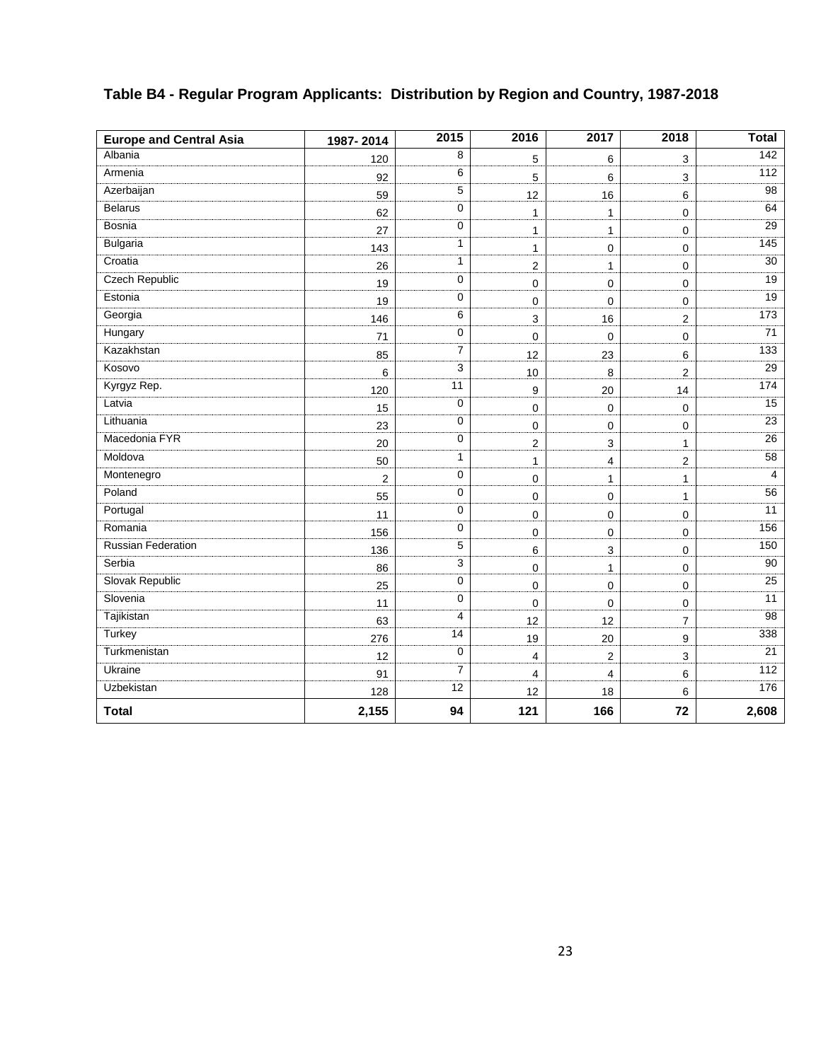| <b>Europe and Central Asia</b> | 1987-2014      | 2015           | 2016                    | 2017           | 2018                | <b>Total</b>    |
|--------------------------------|----------------|----------------|-------------------------|----------------|---------------------|-----------------|
| Albania                        | 120            | 8              | 5                       | 6              | 3                   | 142             |
| Armenia                        | 92             | 6              | 5                       | 6              | 3                   | 112             |
| Azerbaijan                     | 59             | 5              | 12                      | 16             | 6                   | 98              |
| Belarus                        | 62             | $\pmb{0}$      | $\mathbf{1}$            | 1              | $\mathbf 0$         | 64              |
| <b>Bosnia</b>                  | 27             | 0              | $\mathbf{1}$            | $\mathbf{1}$   | 0                   | $\overline{29}$ |
| <b>Bulgaria</b>                | 143            | 1              | $\mathbf{1}$            | 0              | $\mathbf 0$         | 145             |
| Croatia                        | 26             | 1              | $\overline{2}$          | $\mathbf{1}$   | $\mathbf 0$         | 30              |
| <b>Czech Republic</b>          | 19             | $\mathbf 0$    | $\mathbf 0$             | 0              | $\mathbf 0$         | 19              |
| Estonia                        | 19             | 0              | $\mathbf 0$             | 0              | $\mathbf 0$         | 19              |
| Georgia                        | 146            | 6              | 3                       | 16             | $\overline{c}$      | 173             |
| Hungary                        | 71             | $\mathbf 0$    | 0                       | $\mathbf 0$    | $\mathsf{O}\xspace$ | 71              |
| Kazakhstan                     | 85             | $\overline{7}$ | 12                      | 23             | 6                   | 133             |
| Kosovo                         | 6              | 3              | 10                      | 8              | $\overline{2}$      | 29              |
| Kyrgyz Rep.                    | 120            | 11             | 9                       | 20             | 14                  | 174             |
| Latvia                         | 15             | $\mathbf 0$    | $\mathbf 0$             | $\pmb{0}$      | $\pmb{0}$           | 15              |
| Lithuania                      | 23             | $\mathbf 0$    | 0                       | 0              | $\mathbf 0$         | 23              |
| Macedonia FYR                  | 20             | $\mathbf 0$    | $\overline{c}$          | 3              | 1                   | 26              |
| Moldova                        | 50             | 1              | $\mathbf{1}$            | 4              | $\overline{2}$      | 58              |
| Montenegro                     | $\overline{2}$ | 0              | $\mathbf 0$             | 1              | $\mathbf{1}$        | 4               |
| Poland                         | 55             | $\mathbf 0$    | $\mathsf 0$             | $\pmb{0}$      | $\mathbf{1}$        | 56              |
| Portugal                       | 11             | $\mathbf 0$    | $\mathbf 0$             | 0              | $\mathbf 0$         | 11              |
| Romania                        | 156            | $\mathbf 0$    | $\pmb{0}$               | 0              | $\pmb{0}$           | 156             |
| <b>Russian Federation</b>      | 136            | 5              | $\,6\,$                 | $\mathbf{3}$   | $\mathsf{O}\xspace$ | 150             |
| Serbia                         | 86             | 3              | 0                       | $\mathbf{1}$   | $\mathbf 0$         | 90              |
| Slovak Republic                | 25             | $\mathbf 0$    | $\mathbf 0$             | 0              | $\mathbf 0$         | 25              |
| Slovenia                       | 11             | $\mathbf 0$    | 0                       | 0              | $\mathbf 0$         | 11              |
| Tajikistan                     | 63             | 4              | 12                      | 12             | 7                   | 98              |
| Turkey                         | 276            | 14             | 19                      | 20             | 9                   | 338             |
| Turkmenistan                   | 12             | $\mathbf 0$    | $\overline{4}$          | $\overline{2}$ | 3                   | 21              |
| <b>Ukraine</b>                 | 91             | $\overline{7}$ | $\overline{\mathbf{4}}$ | 4              | 6                   | 112             |
| Uzbekistan                     | 128            | 12             | 12                      | 18             | 6                   | 176             |
| <b>Total</b>                   | 2,155          | 94             | 121                     | 166            | 72                  | 2,608           |

### **Table B4 - Regular Program Applicants: Distribution by Region and Country, 1987-2018**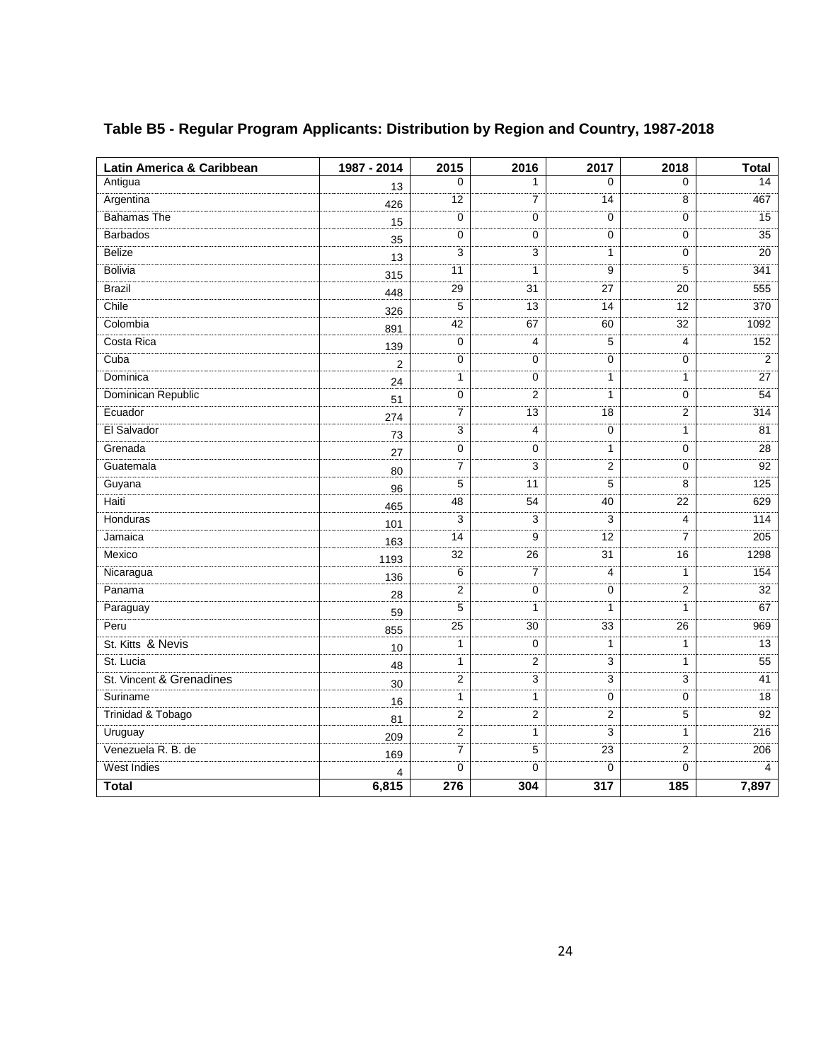| Latin America & Caribbean | 1987 - 2014             | 2015           | 2016            | 2017             | 2018                    | <b>Total</b>   |
|---------------------------|-------------------------|----------------|-----------------|------------------|-------------------------|----------------|
| Antigua                   | 13                      | $\Omega$       | 1               | $\Omega$         | 0                       | 14             |
| Argentina                 | 426                     | 12             | 7               | 14               | 8                       | 467            |
| <b>Bahamas The</b>        | 15                      | 0              | 0               | $\mathbf 0$      | 0                       | 15             |
| <b>Barbados</b>           | 35                      | 0              | 0               | 0                | 0                       | 35             |
| <b>Belize</b>             | 13                      | 3              | 3               | 1                | 0                       | 20             |
| <b>Bolivia</b>            | 315                     | 11             | 1               | 9                | 5                       | 341            |
| <b>Brazil</b>             | 448                     | 29             | 31              | 27               | 20                      | 555            |
| Chile                     | 326                     | 5              | 13              | 14               | 12                      | 370            |
| Colombia                  | 891                     | 42             | 67              | 60               | 32                      | 1092           |
| Costa Rica                | 139                     | 0              | $\overline{4}$  | 5                | 4                       | 152            |
| Cuba                      | $\overline{2}$          | 0              | 0               | $\pmb{0}$        | 0                       | $\overline{2}$ |
| Dominica                  | 24                      | $\mathbf{1}$   | 0               | $\mathbf{1}$     | $\mathbf{1}$            | 27             |
| Dominican Republic        | 51                      | 0              | 2               | 1                | 0                       | 54             |
| Ecuador                   | 274                     | $\overline{7}$ | $\overline{13}$ | 18               | $\overline{2}$          | 314            |
| El Salvador               | 73                      | 3              | 4               | 0                | 1                       | 81             |
| Grenada                   | 27                      | 0              | 0               | 1                | 0                       | 28             |
| Guatemala                 | 80                      | 7              | 3               | 2                | 0                       | 92             |
| Guyana                    | 96                      | 5              | 11              | 5                | 8                       | 125            |
| Haiti                     | 465                     | 48             | 54              | 40               | $\overline{22}$         | 629            |
| Honduras                  | 101                     | 3              | 3               | 3                | 4                       | 114            |
| Jamaica                   | 163                     | 14             | 9               | 12               | 7                       | 205            |
| Mexico                    | 1193                    | 32             | $\overline{26}$ | 31               | 16                      | 1298           |
| Nicaragua                 | 136                     | 6              | 7               | 4                | 1                       | 154            |
| Panama                    | 28                      | $\overline{2}$ | 0               | 0                | $\overline{\mathbf{c}}$ | 32             |
| Paraguay                  | 59                      | 5              | 1               | $\mathbf{1}$     | 1                       | 67             |
| Peru                      | 855                     | 25             | 30              | 33               | 26                      | 969            |
| St. Kitts & Nevis         | 10                      | $\mathbf{1}$   | 0               | 1                | $\mathbf{1}$            | 13             |
| St. Lucia                 | 48                      | $\mathbf{1}$   | 2               | 3                | $\mathbf{1}$            | 55             |
| St. Vincent & Grenadines  | 30                      | $\overline{2}$ | 3               | 3                | 3                       | 41             |
| Suriname                  | 16                      | $\mathbf{1}$   | $\mathbf{1}$    | $\pmb{0}$        | 0                       | 18             |
| Trinidad & Tobago         | 81                      | $\overline{c}$ | $\overline{c}$  | $\overline{2}$   | 5                       | 92             |
| Uruguay                   | 209                     | $\overline{c}$ | $\mathbf{1}$    | 3                | $\mathbf{1}$            | 216            |
| Venezuela R. B. de        | 169                     | 7              | 5               | 23               | $\overline{2}$          | 206            |
| West Indies               | $\overline{\mathbf{4}}$ | 0              | 0               | $\boldsymbol{0}$ | 0                       | $\overline{4}$ |
| <b>Total</b>              | 6,815                   | 276            | 304             | $\overline{317}$ | 185                     | 7,897          |

## **Table B5 - Regular Program Applicants: Distribution by Region and Country, 1987-2018**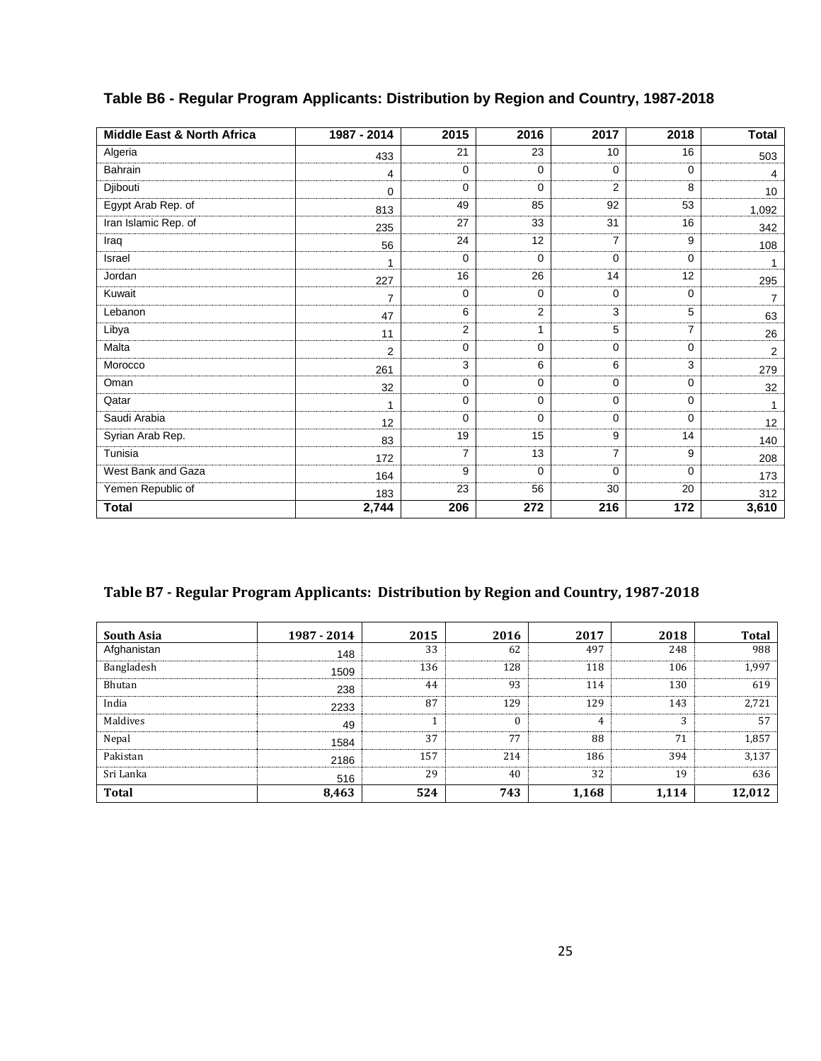| <b>Middle East &amp; North Africa</b> | 1987 - 2014    | 2015           | 2016         | 2017           | 2018        | <b>Total</b>    |
|---------------------------------------|----------------|----------------|--------------|----------------|-------------|-----------------|
| Algeria                               | 433            | 21             | 23           | 10             | 16          | 503             |
| Bahrain                               | 4              | $\mathbf 0$    | $\mathbf 0$  | $\Omega$       | $\Omega$    | 4               |
| Djibouti                              | 0              | $\mathbf 0$    | $\mathbf 0$  | 2              | 8           | 10 <sup>1</sup> |
| Egypt Arab Rep. of                    | 813            | 49             | 85           | 92             | 53          | 1,092           |
| Iran Islamic Rep. of                  | 235            | 27             | 33           | 31             | 16          | 342             |
| Iraq                                  | 56             | 24             | 12           | $\overline{7}$ | 9           | 108             |
| Israel                                | 1              | $\mathbf 0$    | $\mathbf 0$  | $\mathbf 0$    | $\Omega$    | 1               |
| Jordan                                | 227            | 16             | 26           | 14             | 12          | 295             |
| Kuwait                                | $\overline{7}$ | 0              | $\mathbf 0$  | $\Omega$       | $\Omega$    | $\overline{7}$  |
| Lebanon                               | 47             | 6              | $\mathbf{2}$ | 3              | 5           | 63              |
| Libya                                 | 11             | 2              | 1            | 5              | 7           | 26              |
| Malta                                 | $\overline{2}$ | $\mathbf 0$    | 0            | $\Omega$       | 0           | $\overline{2}$  |
| Morocco                               | 261            | 3              | 6            | 6              | 3           | 279             |
| Oman                                  | 32             | $\mathbf 0$    | $\mathbf 0$  | $\Omega$       | $\Omega$    | 32              |
| Qatar                                 | 1              | $\mathbf 0$    | 0            | $\mathbf 0$    | $\mathbf 0$ | $\mathbf{1}$    |
| Saudi Arabia                          | 12             | $\mathbf 0$    | $\mathbf 0$  | 0              | $\Omega$    | 12              |
| Syrian Arab Rep.                      | 83             | 19             | 15           | 9              | 14          | 140             |
| Tunisia                               | 172            | $\overline{7}$ | 13           | $\overline{7}$ | 9           | 208             |
| West Bank and Gaza                    | 164            | 9              | $\mathbf 0$  | $\mathbf 0$    | $\Omega$    | 173             |
| Yemen Republic of                     | 183            | 23             | 56           | 30             | 20          | 312             |
| <b>Total</b>                          | 2,744          | 206            | 272          | 216            | 172         | 3,610           |

#### **Table B6 - Regular Program Applicants: Distribution by Region and Country, 1987-2018**

#### **Table B7 - Regular Program Applicants: Distribution by Region and Country, 1987-2018**

| <b>South Asia</b> | 1987 - 2014 | 2015 | 2016         | 2017  | 2018  | <b>Total</b> |
|-------------------|-------------|------|--------------|-------|-------|--------------|
| Afghanistan       | 148         | 33   | 62           | 497   | 248   | 988          |
| Bangladesh        | 1509        | 136  | 128          | 118   | 106   | 1,997        |
| Bhutan            | 238         | 44   | 93           | 114   | 130   | 619          |
| India             | 2233        | 87   | 129          | 129   | 143   | 2,721        |
| Maldives          | 49          |      | $\mathbf{0}$ | 4     | 3     | 57           |
| Nepal             | 1584        | 37   | 77           | 88    | 71    | 1,857        |
| Pakistan          | 2186        | 157  | 214          | 186   | 394   | 3,137        |
| Sri Lanka         | 516         | 29   | 40           | 32    | 19    | 636          |
| <b>Total</b>      | 8,463       | 524  | 743          | 1,168 | 1,114 | 12,012       |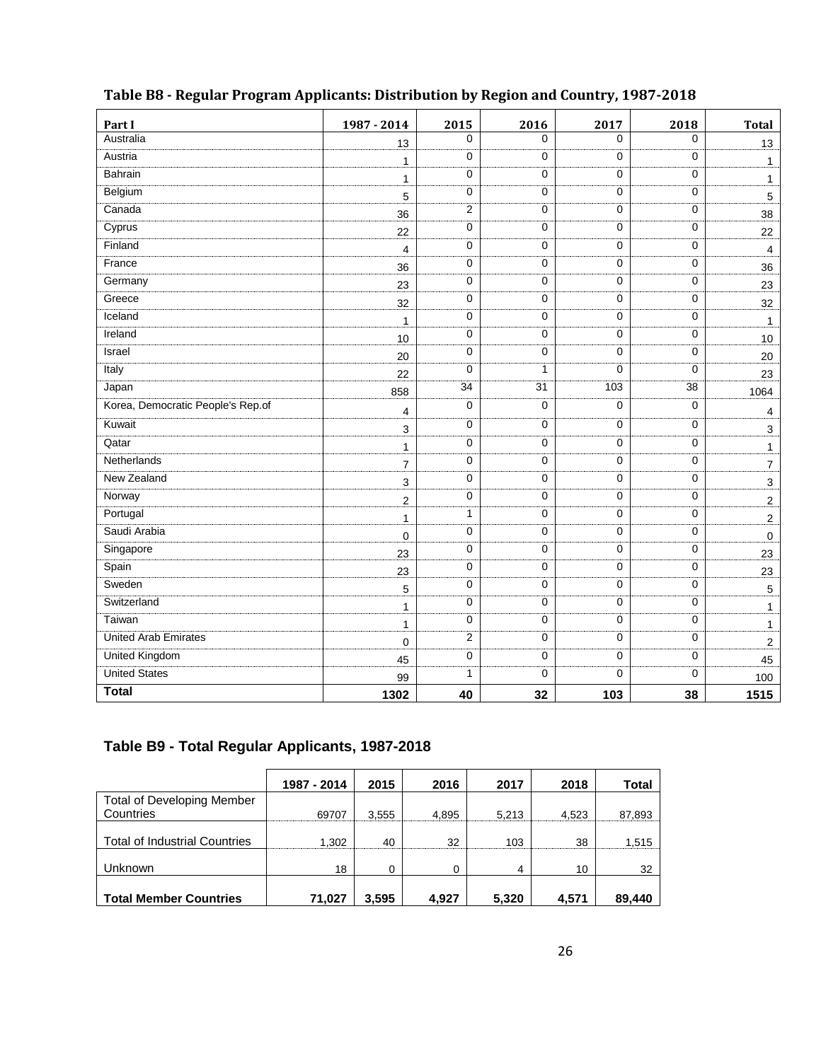| Part I                            | 1987 - 2014             | 2015           | 2016 | 2017           | 2018         | <b>Total</b>            |
|-----------------------------------|-------------------------|----------------|------|----------------|--------------|-------------------------|
| Australia                         | 13                      | 0              | 0    | $\Omega$       | $\Omega$     | 13                      |
| Austria                           | 1                       | 0              | 0    | $\mathbf 0$    | $\mathbf 0$  | $\mathbf{1}$            |
| <b>Bahrain</b>                    | $\mathbf{1}$            | 0              | 0    | 0              | 0            | $\mathbf{1}$            |
| Belgium                           | 5                       | 0              | 0    | $\mathbf 0$    | $\mathbf 0$  | $\overline{5}$          |
| Canada                            | 36                      | 2              | 0    | 0              | 0            | 38                      |
| Cyprus                            | 22                      | 0              | 0    | 0              | 0            | 22                      |
| Finland                           | 4                       | 0              | 0    | $\mathbf 0$    | 0            | $\overline{4}$          |
| France                            | 36                      | 0              | 0    | $\mathbf 0$    | $\mathbf 0$  | 36                      |
| Germany                           | 23                      | 0              | 0    | $\mathbf 0$    | $\mathbf 0$  | 23                      |
| Greece                            | 32                      | 0              | 0    | 0              | 0            | 32                      |
| Iceland                           | $\mathbf{1}$            | 0              | 0    | $\overline{0}$ | $\mathbf{0}$ | $\mathbf{1}$            |
| Ireland                           | 10                      | 0              | 0    | $\mathbf 0$    | $\mathbf 0$  | 10                      |
| Israel                            | 20                      | 0              | 0    | $\mathbf 0$    | $\mathbf 0$  | 20                      |
| Italy                             | 22                      | 0              | 1    | $\Omega$       | $\Omega$     | 23                      |
| Japan                             | 858                     | 34             | 31   | 103            | 38           | 1064                    |
| Korea, Democratic People's Rep.of | 4                       | 0              | 0    | $\mathbf 0$    | 0            | $\overline{\mathbf{4}}$ |
| Kuwait                            | 3                       | 0              | 0    | 0              | 0            | $\mathbf{3}$            |
| Qatar                             | $\mathbf{1}$            | 0              | 0    | $\mathbf 0$    | $\mathbf 0$  | $\mathbf{1}$            |
| Netherlands                       | $\overline{7}$          | 0              | 0    | $\pmb{0}$      | $\pmb{0}$    | $\overline{7}$          |
| New Zealand                       | 3                       | 0              | 0    | 0              | 0            | $\mathbf{3}$            |
| Norway                            | $\overline{\mathbf{c}}$ | 0              | 0    | $\mathbf 0$    | $\mathbf 0$  | $\overline{a}$          |
| Portugal                          | $\mathbf{1}$            | $\mathbf{1}$   | 0    | 0              | 0            | $\overline{2}$          |
| Saudi Arabia                      | $\pmb{0}$               | 0              | 0    | $\pmb{0}$      | $\mathbf 0$  | $\pmb{0}$               |
| Singapore                         | 23                      | 0              | 0    | $\mathbf 0$    | 0            | 23                      |
| Spain                             | 23                      | 0              | 0    | $\mathbf 0$    | 0            | 23                      |
| Sweden                            | 5                       | $\mathbf 0$    | 0    | 0              | $\mathbf 0$  | $5\,$                   |
| Switzerland                       | 1                       | 0              | 0    | 0              | $\pmb{0}$    | $\mathbf{1}$            |
| Taiwan                            | 1                       | 0              | 0    | 0              | $\pmb{0}$    | $\mathbf{1}$            |
| <b>United Arab Emirates</b>       | $\mathbf 0$             | $\overline{2}$ | 0    | $\mathbf 0$    | $\mathbf 0$  | $\overline{c}$          |
| United Kingdom                    | 45                      | 0              | 0    | 0              | 0            | 45                      |
| <b>United States</b>              | 99                      | 1              | 0    | $\mathbf 0$    | $\mathbf 0$  | 100                     |
| <b>Total</b>                      | 1302                    | 40             | 32   | 103            | 38           | 1515                    |

#### **Table B8 - Regular Program Applicants: Distribution by Region and Country, 1987-2018**

#### **Table B9 - Total Regular Applicants, 1987-2018**

|                                      | 1987 - 2014 | 2015  | 2016  | 2017  | 2018  | Total  |
|--------------------------------------|-------------|-------|-------|-------|-------|--------|
| <b>Total of Developing Member</b>    |             |       |       |       |       |        |
| Countries                            | 69707       | 3.555 | 4.895 | 5.213 | 4.523 | 87,893 |
|                                      |             |       |       |       |       |        |
| <b>Total of Industrial Countries</b> | 1.302       | 40    | 32    | 103   | 38    | 1,515  |
|                                      |             |       |       |       |       |        |
| Unknown                              | 18          | 0     | 0     | 4     | 10    | 32     |
|                                      |             |       |       |       |       |        |
| <b>Total Member Countries</b>        | 71,027      | 3.595 | 4.927 | 5,320 | 4,571 | 89,440 |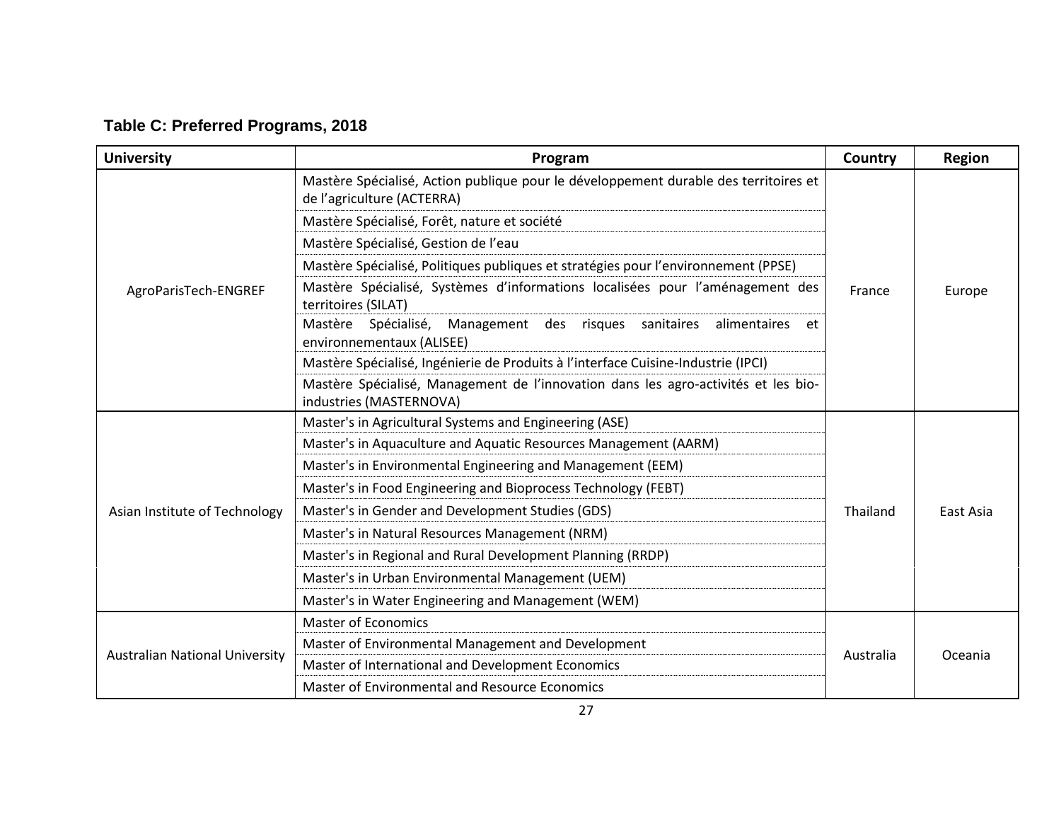| <b>University</b>                     | Program                                                                                                            | Country   | <b>Region</b> |
|---------------------------------------|--------------------------------------------------------------------------------------------------------------------|-----------|---------------|
|                                       | Mastère Spécialisé, Action publique pour le développement durable des territoires et<br>de l'agriculture (ACTERRA) |           |               |
|                                       | Mastère Spécialisé, Forêt, nature et société                                                                       |           | Europe        |
|                                       | Mastère Spécialisé, Gestion de l'eau                                                                               |           |               |
|                                       | Mastère Spécialisé, Politiques publiques et stratégies pour l'environnement (PPSE)                                 |           |               |
| AgroParisTech-ENGREF                  | Mastère Spécialisé, Systèmes d'informations localisées pour l'aménagement des<br>territoires (SILAT)               | France    |               |
|                                       | Spécialisé,<br>Mastère<br>Management des risques sanitaires<br>alimentaires<br>et<br>environnementaux (ALISEE)     |           |               |
|                                       | Mastère Spécialisé, Ingénierie de Produits à l'interface Cuisine-Industrie (IPCI)                                  |           |               |
|                                       | Mastère Spécialisé, Management de l'innovation dans les agro-activités et les bio-<br>industries (MASTERNOVA)      |           |               |
|                                       | Master's in Agricultural Systems and Engineering (ASE)                                                             |           | East Asia     |
|                                       | Master's in Aquaculture and Aquatic Resources Management (AARM)                                                    |           |               |
|                                       | Master's in Environmental Engineering and Management (EEM)                                                         |           |               |
|                                       | Master's in Food Engineering and Bioprocess Technology (FEBT)                                                      |           |               |
| Asian Institute of Technology         | Master's in Gender and Development Studies (GDS)                                                                   | Thailand  |               |
|                                       | Master's in Natural Resources Management (NRM)                                                                     |           |               |
|                                       | Master's in Regional and Rural Development Planning (RRDP)                                                         |           |               |
|                                       | Master's in Urban Environmental Management (UEM)                                                                   |           |               |
|                                       | Master's in Water Engineering and Management (WEM)                                                                 |           |               |
|                                       | <b>Master of Economics</b>                                                                                         |           |               |
| <b>Australian National University</b> | Master of Environmental Management and Development                                                                 | Australia |               |
|                                       | Master of International and Development Economics                                                                  |           | Oceania       |
|                                       | Master of Environmental and Resource Economics                                                                     |           |               |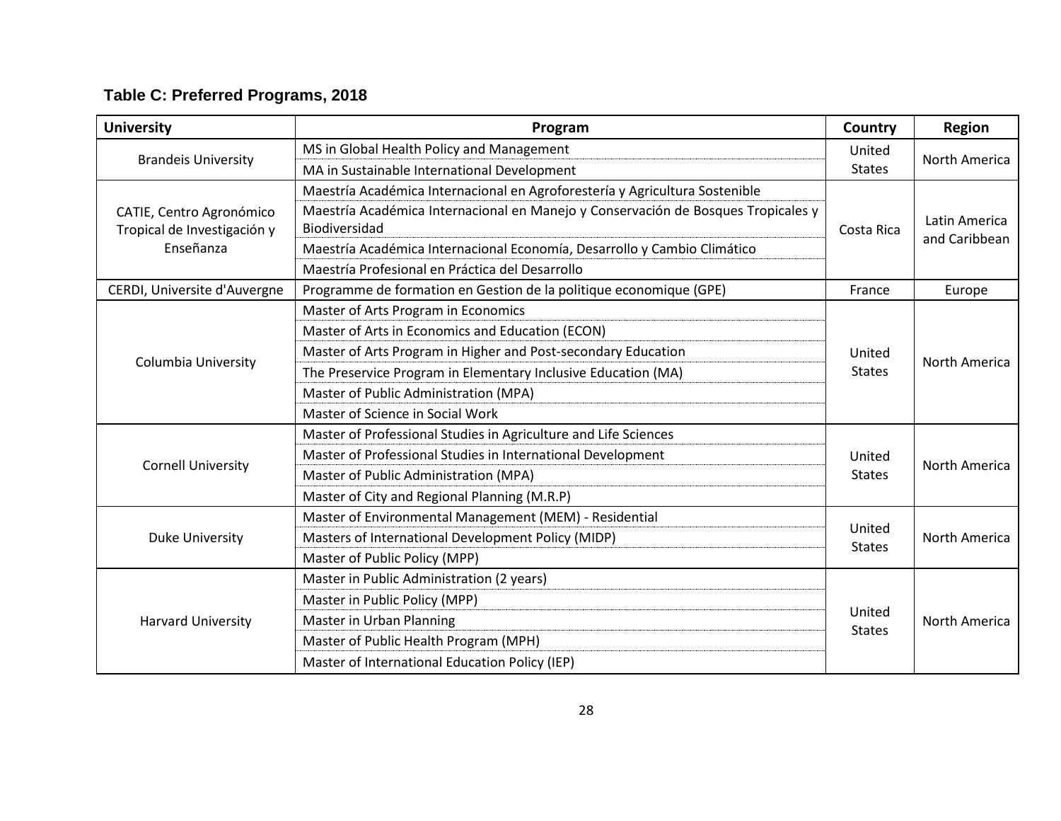| <b>University</b>                                       | Program                                                                                                   | Country                 | <b>Region</b> |
|---------------------------------------------------------|-----------------------------------------------------------------------------------------------------------|-------------------------|---------------|
|                                                         | MS in Global Health Policy and Management                                                                 | United                  | North America |
| <b>Brandeis University</b>                              | MA in Sustainable International Development                                                               | <b>States</b>           |               |
|                                                         | Maestría Académica Internacional en Agroforestería y Agricultura Sostenible                               |                         |               |
| CATIE, Centro Agronómico<br>Tropical de Investigación y | Maestría Académica Internacional en Manejo y Conservación de Bosques Tropicales y<br><b>Biodiversidad</b> | Costa Rica              | Latin America |
| Enseñanza                                               | Maestría Académica Internacional Economía, Desarrollo y Cambio Climático                                  |                         | and Caribbean |
|                                                         | Maestría Profesional en Práctica del Desarrollo                                                           |                         |               |
| CERDI, Universite d'Auvergne                            | Programme de formation en Gestion de la politique economique (GPE)                                        | France                  | Europe        |
|                                                         | Master of Arts Program in Economics                                                                       |                         |               |
|                                                         | Master of Arts in Economics and Education (ECON)                                                          |                         | North America |
|                                                         | Master of Arts Program in Higher and Post-secondary Education                                             | United<br><b>States</b> |               |
| Columbia University                                     | The Preservice Program in Elementary Inclusive Education (MA)                                             |                         |               |
|                                                         | Master of Public Administration (MPA)                                                                     |                         |               |
|                                                         | Master of Science in Social Work                                                                          |                         |               |
|                                                         | Master of Professional Studies in Agriculture and Life Sciences                                           |                         | North America |
|                                                         | Master of Professional Studies in International Development                                               | United                  |               |
| <b>Cornell University</b>                               | Master of Public Administration (MPA)                                                                     | <b>States</b>           |               |
|                                                         | Master of City and Regional Planning (M.R.P)                                                              |                         |               |
|                                                         | Master of Environmental Management (MEM) - Residential                                                    |                         |               |
| <b>Duke University</b>                                  | Masters of International Development Policy (MIDP)                                                        | United<br><b>States</b> | North America |
|                                                         | Master of Public Policy (MPP)                                                                             |                         |               |
| <b>Harvard University</b>                               | Master in Public Administration (2 years)                                                                 |                         |               |
|                                                         | Master in Public Policy (MPP)                                                                             |                         |               |
|                                                         | Master in Urban Planning                                                                                  | United                  | North America |
|                                                         | Master of Public Health Program (MPH)                                                                     | <b>States</b>           |               |
|                                                         | Master of International Education Policy (IEP)                                                            |                         |               |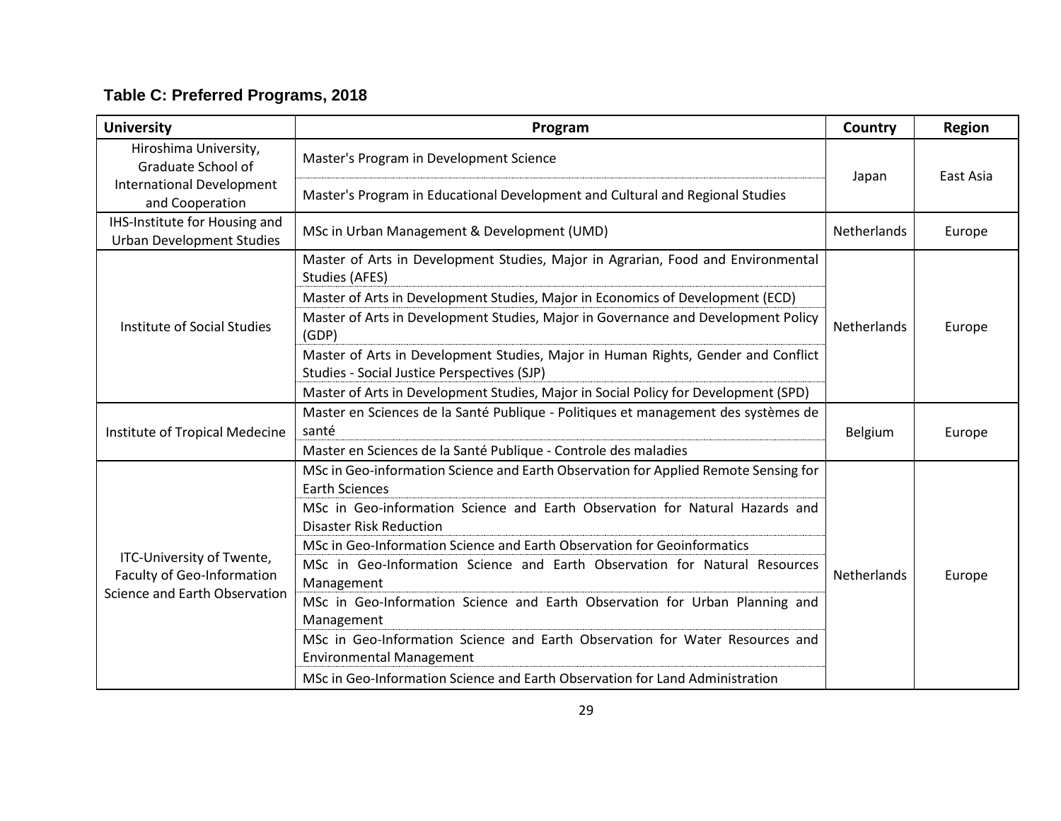| <b>University</b>                                                  | Program                                                                                                                          | Country            | <b>Region</b> |
|--------------------------------------------------------------------|----------------------------------------------------------------------------------------------------------------------------------|--------------------|---------------|
| Hiroshima University,<br>Graduate School of                        | Master's Program in Development Science                                                                                          | Japan              | East Asia     |
| <b>International Development</b><br>and Cooperation                | Master's Program in Educational Development and Cultural and Regional Studies                                                    |                    |               |
| IHS-Institute for Housing and<br><b>Urban Development Studies</b>  | MSc in Urban Management & Development (UMD)                                                                                      | <b>Netherlands</b> | Europe        |
|                                                                    | Master of Arts in Development Studies, Major in Agrarian, Food and Environmental<br>Studies (AFES)                               |                    |               |
|                                                                    | Master of Arts in Development Studies, Major in Economics of Development (ECD)                                                   |                    | Europe        |
| Institute of Social Studies                                        | Master of Arts in Development Studies, Major in Governance and Development Policy<br>(GDP)                                       | <b>Netherlands</b> |               |
|                                                                    | Master of Arts in Development Studies, Major in Human Rights, Gender and Conflict<br>Studies - Social Justice Perspectives (SJP) |                    |               |
|                                                                    | Master of Arts in Development Studies, Major in Social Policy for Development (SPD)                                              |                    |               |
| Institute of Tropical Medecine                                     | Master en Sciences de la Santé Publique - Politiques et management des systèmes de<br>santé                                      | Belgium            | Europe        |
|                                                                    | Master en Sciences de la Santé Publique - Controle des maladies                                                                  |                    |               |
|                                                                    | MSc in Geo-information Science and Earth Observation for Applied Remote Sensing for<br><b>Earth Sciences</b>                     |                    |               |
|                                                                    | MSc in Geo-information Science and Earth Observation for Natural Hazards and<br><b>Disaster Risk Reduction</b>                   |                    |               |
|                                                                    | MSc in Geo-Information Science and Earth Observation for Geoinformatics                                                          |                    |               |
| ITC-University of Twente,                                          | MSc in Geo-Information Science and Earth Observation for Natural Resources                                                       | Netherlands        |               |
| <b>Faculty of Geo-Information</b><br>Science and Earth Observation | Management                                                                                                                       |                    | Europe        |
|                                                                    | MSc in Geo-Information Science and Earth Observation for Urban Planning and<br>Management                                        |                    |               |
|                                                                    | MSc in Geo-Information Science and Earth Observation for Water Resources and<br><b>Environmental Management</b>                  |                    |               |
|                                                                    | MSc in Geo-Information Science and Earth Observation for Land Administration                                                     |                    |               |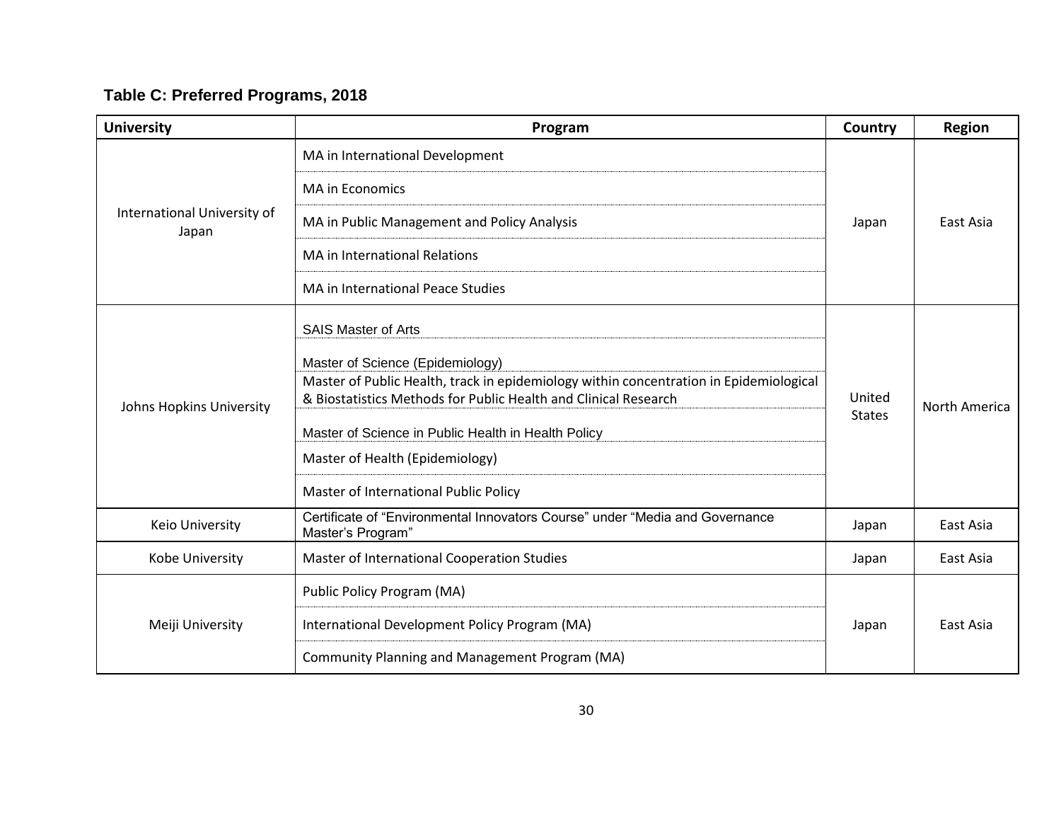| <b>University</b>                    | Program                                                                                                                                                                                                                                                                                                                          | Country                 | <b>Region</b> |
|--------------------------------------|----------------------------------------------------------------------------------------------------------------------------------------------------------------------------------------------------------------------------------------------------------------------------------------------------------------------------------|-------------------------|---------------|
|                                      | MA in International Development                                                                                                                                                                                                                                                                                                  |                         |               |
|                                      | <b>MA in Economics</b>                                                                                                                                                                                                                                                                                                           |                         |               |
| International University of<br>Japan | MA in Public Management and Policy Analysis                                                                                                                                                                                                                                                                                      | Japan                   | East Asia     |
|                                      | <b>MA in International Relations</b>                                                                                                                                                                                                                                                                                             |                         |               |
|                                      | MA in International Peace Studies                                                                                                                                                                                                                                                                                                |                         |               |
|                                      | <b>SAIS Master of Arts</b>                                                                                                                                                                                                                                                                                                       |                         |               |
| Johns Hopkins University             | Master of Science (Epidemiology)<br>Master of Public Health, track in epidemiology within concentration in Epidemiological<br>& Biostatistics Methods for Public Health and Clinical Research<br>Master of Science in Public Health in Health Policy<br>Master of Health (Epidemiology)<br>Master of International Public Policy | United<br><b>States</b> | North America |
| Keio University                      | Certificate of "Environmental Innovators Course" under "Media and Governance<br>Master's Program"                                                                                                                                                                                                                                | Japan                   | East Asia     |
| Kobe University                      | Master of International Cooperation Studies                                                                                                                                                                                                                                                                                      | Japan                   | East Asia     |
| Meiji University                     | Public Policy Program (MA)                                                                                                                                                                                                                                                                                                       |                         |               |
|                                      | International Development Policy Program (MA)                                                                                                                                                                                                                                                                                    | Japan                   | East Asia     |
|                                      | Community Planning and Management Program (MA)                                                                                                                                                                                                                                                                                   |                         |               |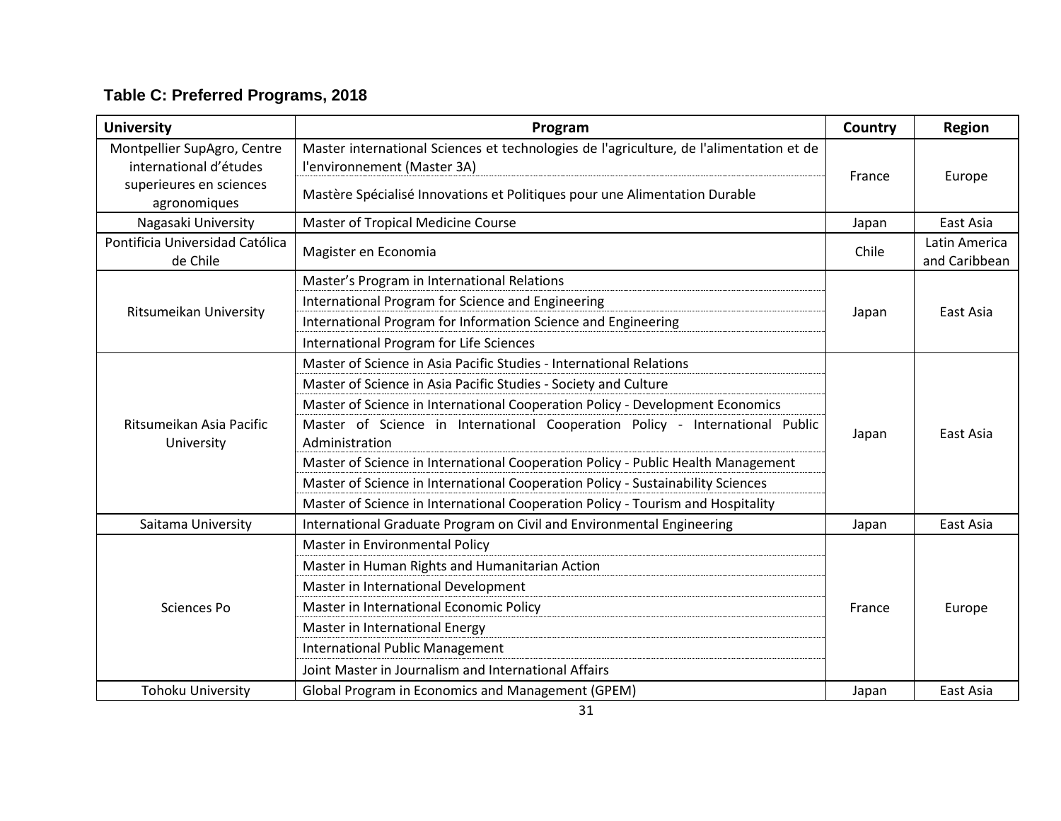| <b>University</b>                                     | Program                                                                                                                | Country | <b>Region</b>                  |
|-------------------------------------------------------|------------------------------------------------------------------------------------------------------------------------|---------|--------------------------------|
| Montpellier SupAgro, Centre<br>international d'études | Master international Sciences et technologies de l'agriculture, de l'alimentation et de<br>l'environnement (Master 3A) | France  | Europe                         |
| superieures en sciences<br>agronomiques               | Mastère Spécialisé Innovations et Politiques pour une Alimentation Durable                                             |         |                                |
| Nagasaki University                                   | Master of Tropical Medicine Course                                                                                     | Japan   | East Asia                      |
| Pontificia Universidad Católica<br>de Chile           | Magister en Economia                                                                                                   | Chile   | Latin America<br>and Caribbean |
|                                                       | Master's Program in International Relations                                                                            |         |                                |
|                                                       | International Program for Science and Engineering                                                                      |         | East Asia<br>East Asia         |
| <b>Ritsumeikan University</b>                         | International Program for Information Science and Engineering                                                          | Japan   |                                |
|                                                       | <b>International Program for Life Sciences</b>                                                                         |         |                                |
|                                                       | Master of Science in Asia Pacific Studies - International Relations                                                    | Japan   |                                |
|                                                       | Master of Science in Asia Pacific Studies - Society and Culture                                                        |         |                                |
|                                                       | Master of Science in International Cooperation Policy - Development Economics                                          |         |                                |
| Ritsumeikan Asia Pacific<br>University                | Master of Science in International Cooperation Policy - International Public<br>Administration                         |         |                                |
|                                                       | Master of Science in International Cooperation Policy - Public Health Management                                       |         |                                |
|                                                       | Master of Science in International Cooperation Policy - Sustainability Sciences                                        |         |                                |
|                                                       | Master of Science in International Cooperation Policy - Tourism and Hospitality                                        |         |                                |
| Saitama University                                    | International Graduate Program on Civil and Environmental Engineering                                                  | Japan   | East Asia                      |
|                                                       | Master in Environmental Policy                                                                                         |         |                                |
|                                                       | Master in Human Rights and Humanitarian Action                                                                         |         |                                |
|                                                       | Master in International Development                                                                                    |         |                                |
| Sciences Po                                           | Master in International Economic Policy                                                                                | France  | Europe                         |
|                                                       | Master in International Energy                                                                                         |         |                                |
|                                                       | <b>International Public Management</b>                                                                                 |         |                                |
|                                                       | Joint Master in Journalism and International Affairs                                                                   |         |                                |
| <b>Tohoku University</b>                              | Global Program in Economics and Management (GPEM)                                                                      | Japan   | East Asia                      |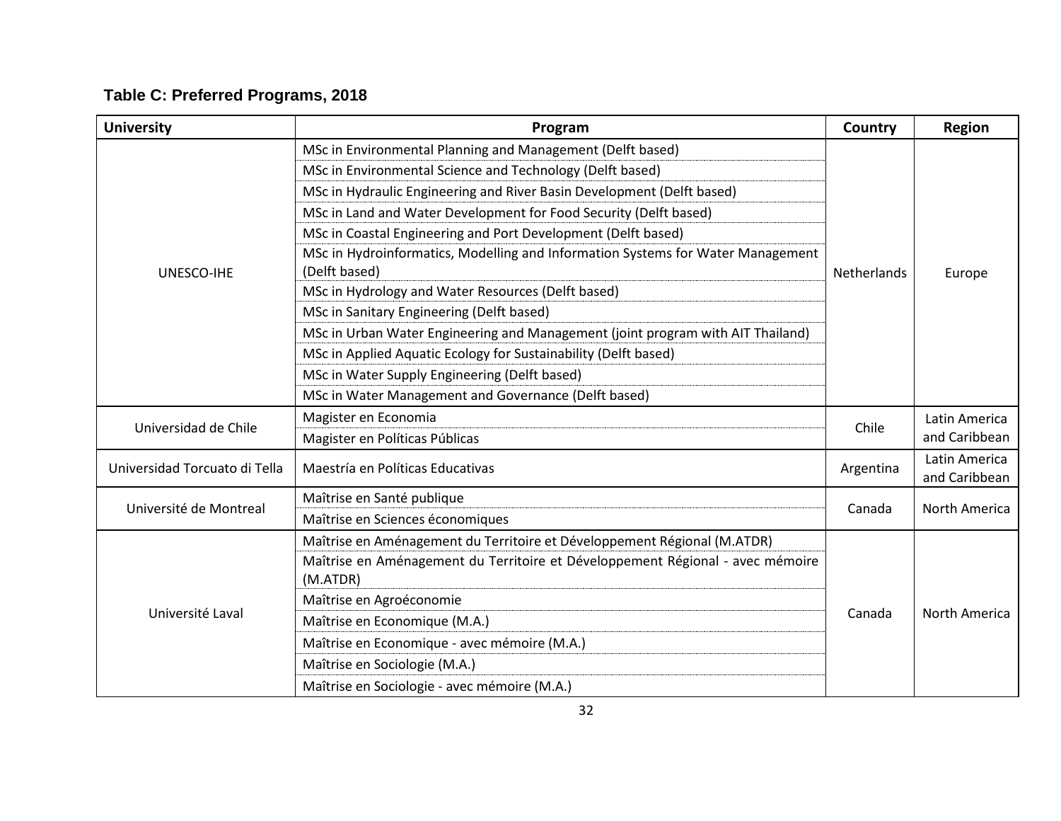| <b>University</b>             | Program                                                                                          | Country     | <b>Region</b>                  |
|-------------------------------|--------------------------------------------------------------------------------------------------|-------------|--------------------------------|
|                               | MSc in Environmental Planning and Management (Delft based)                                       |             |                                |
|                               | MSc in Environmental Science and Technology (Delft based)                                        |             |                                |
|                               | MSc in Hydraulic Engineering and River Basin Development (Delft based)                           |             |                                |
|                               | MSc in Land and Water Development for Food Security (Delft based)                                |             |                                |
|                               | MSc in Coastal Engineering and Port Development (Delft based)                                    |             |                                |
| UNESCO-IHE                    | MSc in Hydroinformatics, Modelling and Information Systems for Water Management<br>(Delft based) | Netherlands | Europe                         |
|                               | MSc in Hydrology and Water Resources (Delft based)                                               |             |                                |
|                               | MSc in Sanitary Engineering (Delft based)                                                        |             |                                |
|                               | MSc in Urban Water Engineering and Management (joint program with AIT Thailand)                  |             |                                |
|                               | MSc in Applied Aquatic Ecology for Sustainability (Delft based)                                  |             |                                |
|                               | MSc in Water Supply Engineering (Delft based)                                                    |             |                                |
|                               | MSc in Water Management and Governance (Delft based)                                             |             |                                |
|                               | Magister en Economia                                                                             |             | Latin America                  |
| Universidad de Chile          | Magister en Políticas Públicas                                                                   | Chile       | and Caribbean                  |
| Universidad Torcuato di Tella | Maestría en Políticas Educativas                                                                 | Argentina   | Latin America<br>and Caribbean |
|                               | Maîtrise en Santé publique                                                                       |             |                                |
| Université de Montreal        | Maîtrise en Sciences économiques                                                                 | Canada      | North America                  |
|                               | Maîtrise en Aménagement du Territoire et Développement Régional (M.ATDR)                         |             |                                |
|                               | Maîtrise en Aménagement du Territoire et Développement Régional - avec mémoire                   |             |                                |
| Université Laval              | (M.ATDR)                                                                                         |             |                                |
|                               | Maîtrise en Agroéconomie                                                                         |             |                                |
|                               | Maîtrise en Economique (M.A.)                                                                    | Canada      | North America                  |
|                               | Maîtrise en Economique - avec mémoire (M.A.)                                                     |             |                                |
|                               | Maîtrise en Sociologie (M.A.)                                                                    |             |                                |
|                               | Maîtrise en Sociologie - avec mémoire (M.A.)                                                     |             |                                |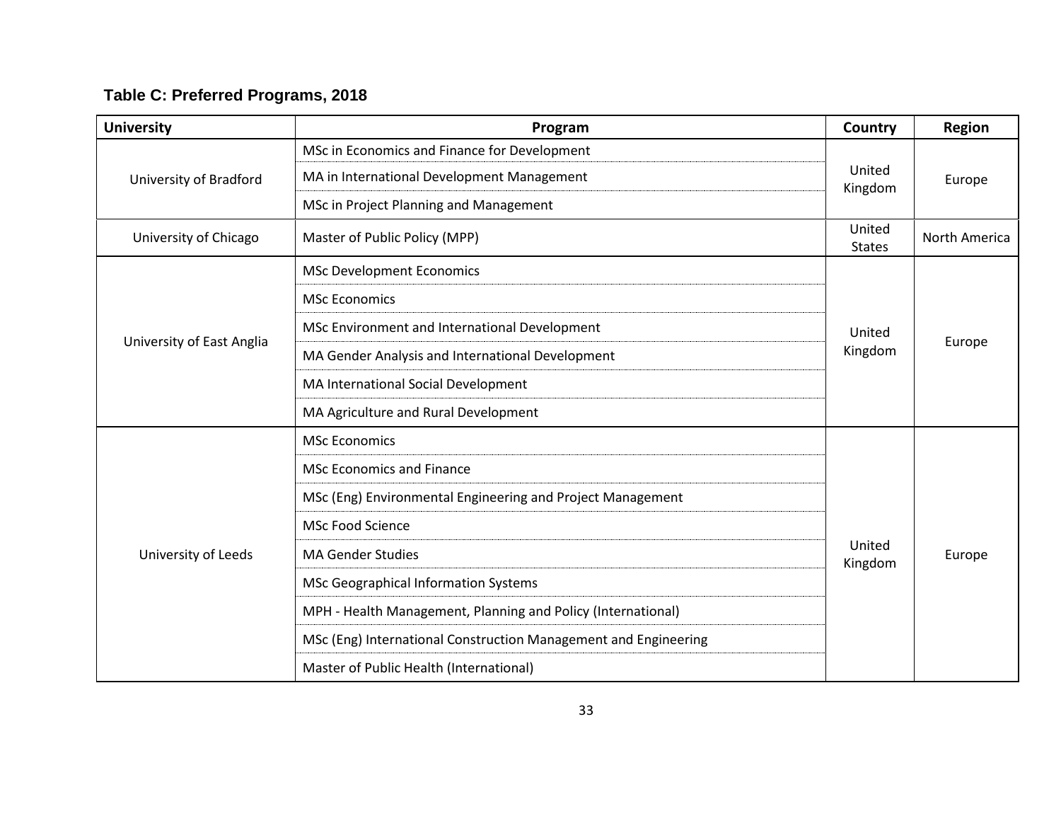| <b>University</b>         | Program                                                         | Country                 | <b>Region</b> |
|---------------------------|-----------------------------------------------------------------|-------------------------|---------------|
|                           | MSc in Economics and Finance for Development                    |                         |               |
| University of Bradford    | MA in International Development Management                      | United<br>Kingdom       | Europe        |
|                           | MSc in Project Planning and Management                          |                         |               |
| University of Chicago     | Master of Public Policy (MPP)                                   | United<br><b>States</b> | North America |
|                           | <b>MSc Development Economics</b>                                |                         |               |
|                           | <b>MSc Economics</b>                                            |                         | Europe        |
|                           | MSc Environment and International Development                   | United                  |               |
| University of East Anglia | MA Gender Analysis and International Development                | Kingdom                 |               |
|                           | MA International Social Development                             |                         |               |
|                           | MA Agriculture and Rural Development                            |                         |               |
|                           | <b>MSc Economics</b>                                            |                         | Europe        |
|                           | <b>MSc Economics and Finance</b>                                |                         |               |
|                           | MSc (Eng) Environmental Engineering and Project Management      |                         |               |
|                           | MSc Food Science                                                |                         |               |
| University of Leeds       | <b>MA Gender Studies</b>                                        | United<br>Kingdom       |               |
|                           | <b>MSc Geographical Information Systems</b>                     |                         |               |
|                           | MPH - Health Management, Planning and Policy (International)    |                         |               |
|                           | MSc (Eng) International Construction Management and Engineering |                         |               |
|                           | Master of Public Health (International)                         |                         |               |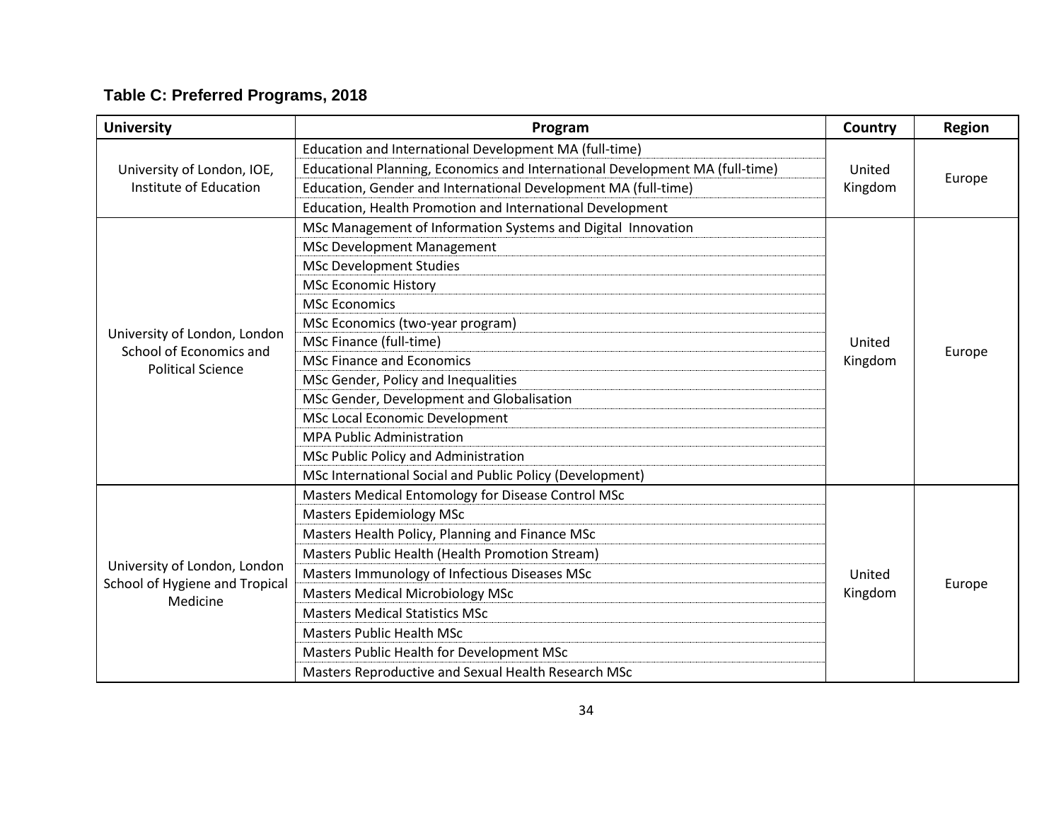| <b>University</b>                                       | Program                                                                      | Country | <b>Region</b> |
|---------------------------------------------------------|------------------------------------------------------------------------------|---------|---------------|
|                                                         | Education and International Development MA (full-time)                       |         | Europe        |
| University of London, IOE,<br>Institute of Education    | Educational Planning, Economics and International Development MA (full-time) | United  |               |
|                                                         | Education, Gender and International Development MA (full-time)               | Kingdom |               |
|                                                         | Education, Health Promotion and International Development                    |         |               |
|                                                         | MSc Management of Information Systems and Digital Innovation                 |         |               |
|                                                         | <b>MSc Development Management</b>                                            |         | Europe        |
|                                                         | <b>MSc Development Studies</b>                                               |         |               |
|                                                         | <b>MSc Economic History</b>                                                  |         |               |
|                                                         | <b>MSc Economics</b>                                                         |         |               |
|                                                         | MSc Economics (two-year program)                                             |         |               |
| University of London, London<br>School of Economics and | MSc Finance (full-time)                                                      | United  |               |
| <b>Political Science</b>                                | <b>MSc Finance and Economics</b>                                             | Kingdom |               |
|                                                         | MSc Gender, Policy and Inequalities                                          |         |               |
|                                                         | MSc Gender, Development and Globalisation                                    |         |               |
|                                                         | MSc Local Economic Development                                               |         |               |
|                                                         | <b>MPA Public Administration</b>                                             |         |               |
|                                                         | MSc Public Policy and Administration                                         |         |               |
|                                                         | MSc International Social and Public Policy (Development)                     |         |               |
|                                                         | Masters Medical Entomology for Disease Control MSc                           |         |               |
|                                                         | <b>Masters Epidemiology MSc</b>                                              |         |               |
|                                                         | Masters Health Policy, Planning and Finance MSc                              |         |               |
|                                                         | Masters Public Health (Health Promotion Stream)                              |         |               |
| University of London, London                            | Masters Immunology of Infectious Diseases MSc                                | United  |               |
| School of Hygiene and Tropical<br>Medicine              | <b>Masters Medical Microbiology MSc</b>                                      | Kingdom | Europe        |
|                                                         | <b>Masters Medical Statistics MSc</b>                                        |         |               |
|                                                         | <b>Masters Public Health MSc</b>                                             |         |               |
|                                                         | Masters Public Health for Development MSc                                    |         |               |
|                                                         | Masters Reproductive and Sexual Health Research MSc                          |         |               |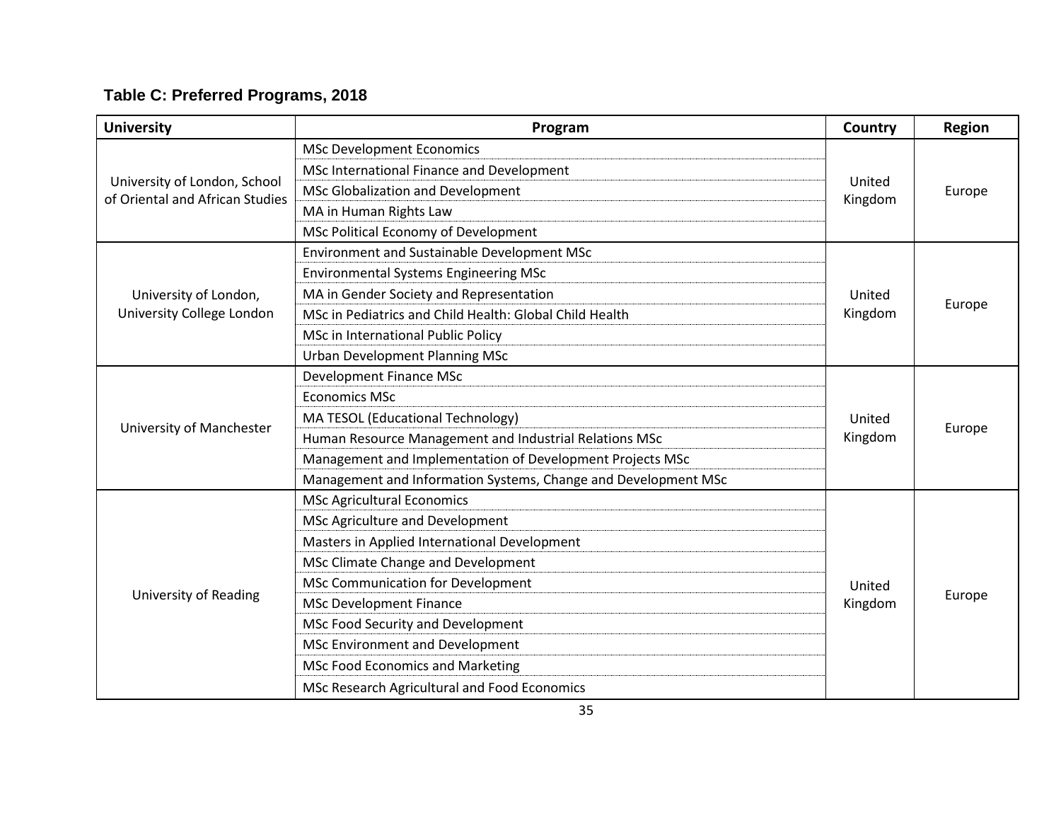| <b>University</b>                                               | Program                                                        | Country           | Region |
|-----------------------------------------------------------------|----------------------------------------------------------------|-------------------|--------|
|                                                                 | <b>MSc Development Economics</b>                               |                   | Europe |
|                                                                 | MSc International Finance and Development                      |                   |        |
| University of London, School<br>of Oriental and African Studies | MSc Globalization and Development                              | United<br>Kingdom |        |
|                                                                 | MA in Human Rights Law                                         |                   |        |
|                                                                 | MSc Political Economy of Development                           |                   |        |
|                                                                 | Environment and Sustainable Development MSc                    |                   |        |
|                                                                 | <b>Environmental Systems Engineering MSc</b>                   |                   |        |
| University of London,                                           | MA in Gender Society and Representation                        | United            | Europe |
| University College London                                       | MSc in Pediatrics and Child Health: Global Child Health        | Kingdom           |        |
|                                                                 | MSc in International Public Policy                             |                   |        |
|                                                                 | <b>Urban Development Planning MSc</b>                          |                   |        |
|                                                                 | Development Finance MSc                                        | United<br>Kingdom | Europe |
|                                                                 | <b>Economics MSc</b>                                           |                   |        |
|                                                                 | MA TESOL (Educational Technology)                              |                   |        |
| University of Manchester                                        | Human Resource Management and Industrial Relations MSc         |                   |        |
|                                                                 | Management and Implementation of Development Projects MSc      |                   |        |
|                                                                 | Management and Information Systems, Change and Development MSc |                   |        |
|                                                                 | <b>MSc Agricultural Economics</b>                              |                   |        |
|                                                                 | MSc Agriculture and Development                                |                   |        |
|                                                                 | Masters in Applied International Development                   |                   |        |
|                                                                 | MSc Climate Change and Development                             |                   |        |
|                                                                 | MSc Communication for Development                              | United            |        |
| <b>University of Reading</b>                                    | <b>MSc Development Finance</b>                                 | Kingdom           | Europe |
|                                                                 | MSc Food Security and Development                              |                   |        |
|                                                                 | MSc Environment and Development                                |                   |        |
|                                                                 | <b>MSc Food Economics and Marketing</b>                        |                   |        |
|                                                                 | MSc Research Agricultural and Food Economics                   |                   |        |